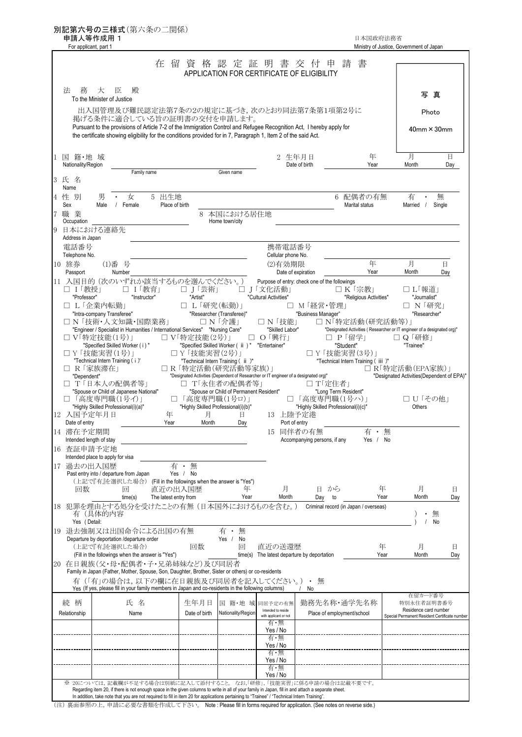|                                       | 申請人等作成用 1<br>For applicant, part 1                                                                                                                                                                                                                                    |                         |                                                                                                            |                                         |                                                                 |                                                      | 日本国政府法務省                                                                           | Ministry of Justice, Government of Japan                               |                       |
|---------------------------------------|-----------------------------------------------------------------------------------------------------------------------------------------------------------------------------------------------------------------------------------------------------------------------|-------------------------|------------------------------------------------------------------------------------------------------------|-----------------------------------------|-----------------------------------------------------------------|------------------------------------------------------|------------------------------------------------------------------------------------|------------------------------------------------------------------------|-----------------------|
|                                       |                                                                                                                                                                                                                                                                       | 在<br>留                  |                                                                                                            |                                         | 資 格 認 定 証 明 書 交 付<br>APPLICATION FOR CERTIFICATE OF ELIGIBILITY | 甲                                                    | 書<br>請                                                                             |                                                                        |                       |
| 務<br>法                                | 大<br>臣<br>殿<br>To the Minister of Justice                                                                                                                                                                                                                             |                         |                                                                                                            |                                         |                                                                 |                                                      |                                                                                    | 写                                                                      | 真                     |
|                                       | 出入国管理及び難民認定法第7条の2の規定に基づき,次のとおり同法第7条第1項第2号に                                                                                                                                                                                                                            |                         |                                                                                                            |                                         |                                                                 |                                                      |                                                                                    |                                                                        | Photo                 |
|                                       | 掲げる条件に適合している旨の証明書の交付を申請します。<br>Pursuant to the provisions of Article 7-2 of the Immigration Control and Refugee Recognition Act, I hereby apply for<br>the certificate showing eligibility for the conditions provided for in 7, Paragraph 1, Item 2 of the said Act. |                         |                                                                                                            |                                         |                                                                 |                                                      |                                                                                    |                                                                        | $40$ mm $\times$ 30mm |
| 国籍·地域<br>Nationality/Region           |                                                                                                                                                                                                                                                                       |                         |                                                                                                            |                                         | 2 生年月日                                                          | Date of birth                                        | 年<br>Year                                                                          | 月<br>Month                                                             | 日<br>Day              |
| 3 氏 名<br>Name                         |                                                                                                                                                                                                                                                                       | Family name             |                                                                                                            | Given name                              |                                                                 |                                                      |                                                                                    |                                                                        |                       |
| 4 性 別<br>Sex                          | 男<br>女<br>Male<br>/ Female                                                                                                                                                                                                                                            | 5 出生地<br>Place of birth |                                                                                                            |                                         |                                                                 |                                                      | 6 配偶者の有無<br>Marital status                                                         | 有<br>Married /                                                         | 無<br>Single           |
| 7 職 業<br>Occupation                   |                                                                                                                                                                                                                                                                       |                         |                                                                                                            | 8 本国における居住地<br>Home town/city           |                                                                 |                                                      |                                                                                    |                                                                        |                       |
| 日本における連絡先<br>Address in Japan         |                                                                                                                                                                                                                                                                       |                         |                                                                                                            |                                         |                                                                 |                                                      |                                                                                    |                                                                        |                       |
| 雷話番号<br>Telephone No.                 |                                                                                                                                                                                                                                                                       |                         |                                                                                                            |                                         | 携帯電話番号<br>Cellular phone No.                                    |                                                      |                                                                                    |                                                                        |                       |
| 10 旅券<br>Passport                     | (1)番号<br>Number                                                                                                                                                                                                                                                       |                         |                                                                                                            |                                         | (2)有効期限<br>Date of expiration                                   |                                                      | 年<br>Year                                                                          | 月<br>Month                                                             | 日<br>Day              |
| □ 1「教授」                               | 11 入国目的 (次のいずれか該当するものを選んでください。)                                                                                                                                                                                                                                       | □ 1「教育」                 | □ J「芸術」                                                                                                    |                                         | Purpose of entry: check one of the followings<br>□ J│文化活動」      |                                                      | □ K  宗教                                                                            | □ L「報道」                                                                |                       |
| "Professor"<br>□ L「企業内転勤」             |                                                                                                                                                                                                                                                                       | "Instructor"            | "Artist"<br>□ L「研究(転勤)」                                                                                    |                                         | "Cultural Activities"                                           | □ M  経営・管理                                           | "Religious Activities"                                                             | "Journalist"<br>□ N「研究」                                                |                       |
|                                       | "Intra-company Transferee"<br>□ N「技術·人文知識·国際業務」                                                                                                                                                                                                                       |                         | "Researcher (Transferee)"<br>□ N 「介護」                                                                      |                                         | □ N 「技能」                                                        | "Business Manager"                                   | □ N「特定活動(研究活動等)」                                                                   | "Researcher"                                                           |                       |
| □ V「特定技能(1号)」                         | "Engineer / Specialist in Humanities / International Services" "Nursing Care"                                                                                                                                                                                         |                         | □ V「特定技能(2号)」                                                                                              |                                         | "Skilled Labor"<br>□ O 「興行」                                     |                                                      | "Designated Activities (Researcher or IT engineer of a designated org)"<br>□ P「留学」 | □ Q 「研修」                                                               |                       |
|                                       | "Specified Skilled Worker (i)"                                                                                                                                                                                                                                        |                         | "Specified Skilled Worker ( ii ) " "Entertainer"                                                           |                                         |                                                                 |                                                      | "Student"                                                                          | "Trainee"                                                              |                       |
|                                       | □ Y「技能実習(1号)」<br>"Technical Intern Training (i)"                                                                                                                                                                                                                      |                         | □ Y 「技能実習(2号)」<br>"Technical Intern Training ( ii )"                                                       |                                         |                                                                 |                                                      | □ Y 「技能実習(3号)」<br>"Technical Intern Training (iii)"                                |                                                                        |                       |
| □ R「家族滞在」<br>"Dependent"              |                                                                                                                                                                                                                                                                       |                         | □ R「特定活動(研究活動等家族)」<br>"Designated Activities (Dependent of Researcher or IT engineer of a designated org)" |                                         |                                                                 |                                                      |                                                                                    | □ R「特定活動(EPA家族)」<br>"Designated Activities(Dependent of EPA)"          |                       |
|                                       | □ T「日本人の配偶者等」<br>"Spouse or Child of Japanese National"                                                                                                                                                                                                               |                         | □ T「永住者の配偶者等」                                                                                              | "Spouse or Child of Permanent Resident" |                                                                 | □ T「定住者」                                             | "Long Term Resident"                                                               |                                                                        |                       |
|                                       | □「高度専門職(1号イ)」<br>"Highly Skilled Professional(i)(a)"                                                                                                                                                                                                                  |                         | □ 「高度専門職(1号ロ)」<br>"Highly Skilled Professional(i)(b)"                                                      |                                         |                                                                 | □「高度専門職(1号ハ)」<br>"Highly Skilled Professional(i)(c)" |                                                                                    | □ U「その他」<br>Others                                                     |                       |
| 12 入国予定年月日<br>Date of entry           |                                                                                                                                                                                                                                                                       | 年<br>Year               | 月<br>Month                                                                                                 | 且<br>Day                                | 13 上陸予定港<br>Port of entry                                       |                                                      |                                                                                    |                                                                        |                       |
|                                       |                                                                                                                                                                                                                                                                       |                         |                                                                                                            |                                         | 15 同伴者の有無                                                       |                                                      | 有                                                                                  | 無                                                                      |                       |
|                                       |                                                                                                                                                                                                                                                                       |                         |                                                                                                            |                                         |                                                                 |                                                      |                                                                                    |                                                                        |                       |
| Intended length of stay               |                                                                                                                                                                                                                                                                       |                         |                                                                                                            |                                         |                                                                 | Accompanying persons, if any                         | Yes /                                                                              | No                                                                     |                       |
|                                       | Intended place to apply for visa                                                                                                                                                                                                                                      |                         |                                                                                                            |                                         |                                                                 |                                                      |                                                                                    |                                                                        |                       |
|                                       | Past entry into / departure from Japan                                                                                                                                                                                                                                | 有                       | 無<br>$\bullet$<br>Yes / No                                                                                 |                                         |                                                                 |                                                      |                                                                                    |                                                                        |                       |
| 回数                                    | (上記で『有』を選択した場合) (Fill in the followings when the answer is "Yes")<br>回                                                                                                                                                                                                | 直近の出入国歴                 |                                                                                                            | 年                                       | 月                                                               | 日 から                                                 |                                                                                    | 年<br>月                                                                 | 日                     |
|                                       | time(s)                                                                                                                                                                                                                                                               | The latest entry from   |                                                                                                            | Year                                    | Month                                                           | Day                                                  | to                                                                                 | Year<br>Month                                                          |                       |
| 有(具体的内容                               | 18 犯罪を理由とする処分を受けたことの有無 (日本国外におけるものを含む。)                                                                                                                                                                                                                               |                         |                                                                                                            |                                         |                                                                 |                                                      | Criminal record (in Japan / overseas)                                              |                                                                        | 無                     |
| Yes (Detail:                          | 19 退去強制又は出国命令による出国の有無                                                                                                                                                                                                                                                 |                         |                                                                                                            | 有 ・<br>無                                |                                                                 |                                                      |                                                                                    |                                                                        | No                    |
| 14 滞在予定期間<br>16 杳証申請予定地<br>17 過去の出入国歴 | Departure by deportation /departure order<br>(上記で『有』を選択した場合)                                                                                                                                                                                                          |                         | 回数                                                                                                         | Yes / No<br>回                           | 直近の送還歴                                                          |                                                      |                                                                                    | 年<br>月                                                                 | 日                     |
|                                       | (Fill in the followings when the answer is "Yes")                                                                                                                                                                                                                     |                         |                                                                                                            |                                         | time(s) The latest departure by deportation                     |                                                      |                                                                                    | Year<br>Month                                                          |                       |
|                                       | 20 在日親族(父・母・配偶者・子・兄弟姉妹など)及び同居者<br>Family in Japan (Father, Mother, Spouse, Son, Daughter, Brother, Sister or others) or co-residents                                                                                                                                  |                         |                                                                                                            |                                         |                                                                 |                                                      |                                                                                    |                                                                        |                       |
|                                       | 有(「有」の場合は、以下の欄に在日親族及び同居者を記入してください。)<br>Yes (If yes, please fill in your family members in Japan and co-residents in the following columns)                                                                                                                            |                         |                                                                                                            |                                         |                                                                 | 無<br>No                                              |                                                                                    |                                                                        |                       |
| 続 柄                                   | 氏名                                                                                                                                                                                                                                                                    |                         | 生年月日                                                                                                       |                                         | 国籍·地域同居予定の有無                                                    |                                                      | 勤務先名称・通学先名称                                                                        | 在留カード番号<br>特別永住者証明書番号                                                  |                       |
|                                       | Name                                                                                                                                                                                                                                                                  |                         | Date of birth                                                                                              | Nationality/Region                      | Intended to reside<br>with applicant or not                     |                                                      | Place of employment/school                                                         | Residence card number<br>Special Permanent Resident Certificate number |                       |
|                                       |                                                                                                                                                                                                                                                                       |                         |                                                                                                            |                                         | 有・無<br>Yes / No                                                 |                                                      |                                                                                    |                                                                        |                       |
| Relationship                          |                                                                                                                                                                                                                                                                       |                         |                                                                                                            |                                         | 有・無<br>Yes / No                                                 |                                                      |                                                                                    |                                                                        | Day<br>Day            |
|                                       |                                                                                                                                                                                                                                                                       |                         |                                                                                                            |                                         | 有・無<br>Yes / No                                                 |                                                      |                                                                                    |                                                                        |                       |
|                                       |                                                                                                                                                                                                                                                                       |                         |                                                                                                            |                                         | 有・無<br>Yes / No                                                 |                                                      |                                                                                    |                                                                        |                       |

(注) 裏面参照の上,申請に必要な書類を作成して下さい。 Note : Please fill in forms required for application. (See notes on reverse side.)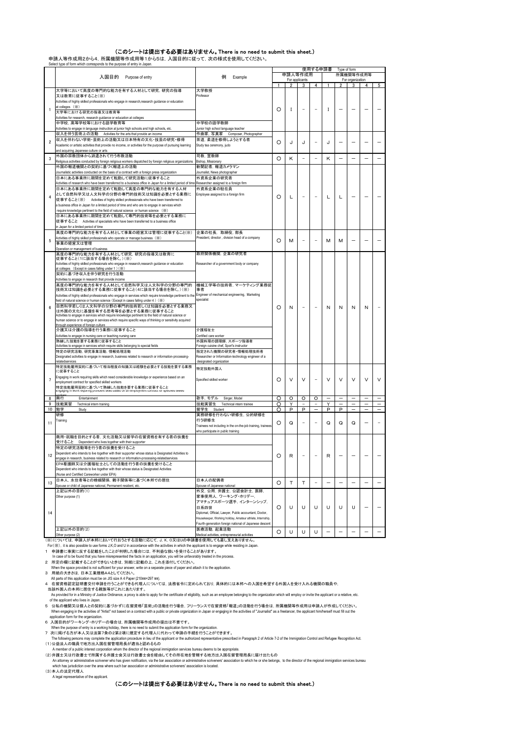## (このシートは提出する必要はありません。There is no need to submit this sheet.)

申請人等作成用2から4,所属機関等作成用等1から5は,入国目的に従って,次の様式を使用してください。

|                          | Select type of form which corresponds to the purpose of entry in Japan                                                              |                                                                    |         |                |                |                |   |              |                  |   |                          |
|--------------------------|-------------------------------------------------------------------------------------------------------------------------------------|--------------------------------------------------------------------|---------|----------------|----------------|----------------|---|--------------|------------------|---|--------------------------|
|                          |                                                                                                                                     |                                                                    |         |                |                | 使用する申請書        |   | Type of form |                  |   |                          |
|                          | 入国目的 Purpose of entry                                                                                                               | 例<br>Example                                                       |         |                | 申請人等作成用        |                |   |              | 所属機関等作成用等        |   |                          |
|                          |                                                                                                                                     |                                                                    |         |                | For applicants |                |   |              | For organization |   |                          |
|                          |                                                                                                                                     |                                                                    |         | $\mathfrak{p}$ | 3              | $\overline{a}$ |   |              | 3                | 4 |                          |
|                          | 大学等において高度の専門的な能力を有する人材として研究、研究の指導                                                                                                   | 大学教授<br>Professor                                                  |         |                |                |                |   |              |                  |   |                          |
|                          | 又は教育に従事すること(※)                                                                                                                      |                                                                    |         |                |                |                |   |              |                  |   |                          |
|                          | Activities of highly skilled professionals who engage in research,research guidance or education                                    |                                                                    |         |                |                |                |   |              |                  |   |                          |
| 1                        | at colleges (※)                                                                                                                     |                                                                    | O       | 1              |                |                | Ι |              |                  |   |                          |
|                          | 大学等における研究の指導又は教育等                                                                                                                   |                                                                    |         |                |                |                |   |              |                  |   |                          |
|                          | Activities for research, research guidance or education at colleges                                                                 |                                                                    |         |                |                |                |   |              |                  |   |                          |
|                          | 中学校、高等学校等における語学教育等                                                                                                                  | 中学校の語学教師                                                           |         |                |                |                |   |              |                  |   |                          |
|                          | Activities to engage in language instruction at junior high schools and high schools, etc.                                          | Junior high school language teacher                                |         |                |                |                |   |              |                  |   |                          |
|                          | 収入を伴う芸術上の活動 Activities for the arts that provide an income                                                                          | 作曲家,写真家 Composer, Photographer                                     |         |                |                |                |   |              |                  |   |                          |
| 2                        | 収入を伴わない学術・芸術上の活動又は日本特有の文化・技芸の研究・修得                                                                                                  | 茶道. 柔道を修得しようとする者                                                   | O       | J              | J              |                | J |              |                  |   |                          |
|                          | Academic or artistic activities that provide no income, or activities for the purpose of pursuing learning                          | Study tea ceremony, judo                                           |         |                |                |                |   |              |                  |   |                          |
|                          | and acquiring Japanese culture or arts                                                                                              |                                                                    |         |                |                |                |   |              |                  |   |                          |
| 3                        | 外国の宗教団体から派遣されて行う布教活動                                                                                                                | 司教, 宣教師                                                            | O       | κ              |                |                | Κ |              |                  |   |                          |
|                          | Religious activities conducted by foreign religious workers dispatched by foreign religious organizations                           | Bishop, Missionary                                                 |         |                |                |                |   |              |                  |   |                          |
|                          | 外国の報道機関との契約に基づく報道上の活動                                                                                                               | 新聞記者,報道カメラマン                                                       |         |                |                |                |   |              |                  |   |                          |
|                          | Journalistic activities conducted on the basis of a contract with a foreign press organization                                      | Journalist, News photographer                                      |         |                |                |                |   |              |                  |   |                          |
|                          | 日本にある事業所に期間を定めて転勤して研究活動に従事すること                                                                                                      | 外資系企業の研究者                                                          |         |                |                |                |   |              |                  |   |                          |
|                          | Activities of research who have been transferred to a business office in Japan for a limited period of time                         | Researcher assigned to a foreign firm                              |         |                |                |                |   |              |                  |   |                          |
|                          | 日本にある事業所に期間を定めて転勤して高度の専門的な能力を有する人材                                                                                                  | 外資系企業の駐在員                                                          |         |                |                |                |   |              |                  |   |                          |
|                          | として自然科学又は人文科学の分野の専門的技術又は知識を必要とする業務に                                                                                                 | Employee assigned to a foreign firm                                |         |                |                |                |   |              |                  |   |                          |
| 4                        | 従事すること(※) Activities of highly skilled professionals who have been transferred to                                                   |                                                                    | O       | L              |                |                | L | L            |                  |   |                          |
|                          | a business office in Japan for a limited period of time and who are to engage in services which                                     |                                                                    |         |                |                |                |   |              |                  |   |                          |
|                          | require knowledge pertinent to the field of natural science or human science (※)                                                    |                                                                    |         |                |                |                |   |              |                  |   |                          |
|                          | 日本にある事業所に期間を定めて転勤して専門的技術等を必要とする業務に                                                                                                  |                                                                    |         |                |                |                |   |              |                  |   |                          |
|                          | 従事すること Activities of specialists who have been transferred to a business office                                                     |                                                                    |         |                |                |                |   |              |                  |   |                          |
|                          | in Japan for a limited period of time                                                                                               |                                                                    |         |                |                |                |   |              |                  |   |                          |
|                          | 高度の専門的な能力を有する人材として事業の経営又は管理に従事すること(※)                                                                                               |                                                                    |         |                |                |                |   |              |                  |   |                          |
|                          |                                                                                                                                     | 企業の社長, 取締役, 部長<br>President, director , division head of a company |         |                |                |                |   |              |                  |   |                          |
| 5                        | Activities of highly skilled professionals who operate or manage business (※)                                                       |                                                                    | O       | м              |                |                | М | M            |                  |   |                          |
|                          | 事業の経営又は管理                                                                                                                           |                                                                    |         |                |                |                |   |              |                  |   |                          |
|                          | Operation or management of business                                                                                                 |                                                                    |         |                |                |                |   |              |                  |   |                          |
|                          | 高度の専門的な能力を有する人材として研究、研究の指導又は教育に<br>従事すること(1に該当する場合を除く。)(※)                                                                          | 政府関係機関. 企業の研究者                                                     |         |                |                |                |   |              |                  |   |                          |
|                          | Activities of highly skilled professionals who engage in research, research guidance or education                                   | Researcher of a government body or company                         |         |                |                |                |   |              |                  |   |                          |
|                          | at colleges (Except in cases falling under 1) (※)                                                                                   |                                                                    |         |                |                |                |   |              |                  |   |                          |
|                          | 契約に基づき収入を伴う研究を行う活動                                                                                                                  |                                                                    |         |                |                |                |   |              |                  |   |                          |
|                          | Activities to engage in research that provide income                                                                                |                                                                    |         |                |                |                |   |              |                  |   |                          |
|                          | 高度の専門的な能力を有する人材として自然科学又は人文科学の分野の専門的                                                                                                 | 機械工学等の技術者、マーケティング業務従                                               |         |                |                |                |   |              |                  |   |                          |
|                          | 技術又は知識を必要とする業務に従事すること(4に該当する場合を除く。)(※)                                                                                              | 事者                                                                 |         |                |                |                |   |              |                  |   |                          |
|                          | Activities of highly skilled professionals who engage in services which require knowledge pertinent to the                          | Engineer of mechanical engineering, Marketing                      |         |                |                |                |   |              |                  |   |                          |
|                          | field of natural science or human science (Except in cases falling under 4) (※)                                                     | specialist                                                         |         |                |                |                |   |              |                  |   |                          |
|                          |                                                                                                                                     |                                                                    |         |                |                |                |   |              |                  |   |                          |
| 6                        | 自然科学若しくは人文科学の分野の専門的技術若しくは知識を必要とする業務又<br>は外国の文化に基盤を有する思考等を必要とする業務に従事すること                                                             |                                                                    | O       | N              |                |                | N | N            | N                | N |                          |
|                          | Activities to engage in services which require knowledge pertinent to the field of natural science or                               |                                                                    |         |                |                |                |   |              |                  |   |                          |
|                          | human science or to engage in services which require specific ways of thinking or sensitivity acquired                              |                                                                    |         |                |                |                |   |              |                  |   |                          |
|                          | through experience of foreign culture                                                                                               |                                                                    |         |                |                |                |   |              |                  |   |                          |
|                          | 介護又は介護の指導を行う業務に従事すること                                                                                                               | 介護福祉士                                                              |         |                |                |                |   |              |                  |   |                          |
|                          | Activities to engage in nursing care or teaching nursing care                                                                       | Certified care worker                                              |         |                |                |                |   |              |                  |   |                          |
|                          | 熟練した技能を要する業務に従事すること                                                                                                                 | 外国料理の調理師、スポーツ指導者                                                   |         |                |                |                |   |              |                  |   |                          |
|                          | Activities to engage in services which require skills belonging to special fields                                                   | Foreign cuisine chef, Sport's instructo                            |         |                |                |                |   |              |                  |   |                          |
|                          | 特定の研究活動. 研究事業活動. 情報処理活動                                                                                                             | 指定された機関の研究者・情報処理技術者                                                |         |                |                |                |   |              |                  |   |                          |
|                          | Designated activities to engage in research, business related to research or information-processing-                                | Researcher or Information-technology engineer of a                 |         |                |                |                |   |              |                  |   |                          |
|                          | relatedservices                                                                                                                     | designated organization                                            |         |                |                |                |   |              |                  |   |                          |
|                          | 特定技能雇用契約に基づいて相当程度の知識又は経験を必要とする技能を要する業務                                                                                              | 特定技能外国人                                                            |         |                |                |                |   |              |                  |   |                          |
|                          | に従事すること                                                                                                                             |                                                                    |         |                |                |                |   |              |                  |   |                          |
| $\overline{\phantom{a}}$ | Engaging in work requiring skills which need considerable knowledge or experience based on an                                       | Specified skilled worker                                           | O       |                |                |                | ν | V            | V                | ν | V                        |
|                          | employment contract for specified skilled workers                                                                                   |                                                                    |         | V              | v              |                |   |              |                  |   |                          |
|                          | 特定技能雇用契約に基づいて熟練した技能を要する業務に従事すること<br>Engaging in work requiring proncient skins based on an employment contract for specified skined |                                                                    |         |                |                |                |   |              |                  |   |                          |
|                          |                                                                                                                                     |                                                                    |         |                |                |                |   |              |                  |   |                          |
| 8                        | 興行<br>Entertainment                                                                                                                 | 歌手、モデル<br>Singer, Model                                            | O       | o              | O              | O              |   |              |                  |   |                          |
| 9                        | Technical intern training<br>技能実習                                                                                                   | 技能実習生<br>Technical intern trainee                                  | O       | Υ              |                |                | Υ |              |                  |   |                          |
| 10                       | 勉学<br>Study                                                                                                                         | 留学生<br>Student                                                     | O       | P              | P              |                | P | Þ            |                  |   |                          |
|                          | 研修                                                                                                                                  | 実務研修を行わない研修生, 公的研修を                                                |         |                |                |                |   |              |                  |   |                          |
|                          | Training                                                                                                                            | 行う研修生                                                              |         |                |                |                |   |              |                  |   |                          |
| 11                       |                                                                                                                                     | Trainees not including in the on-the-job training, trainees        | O       | Q              |                |                | Q | Q            | Q                |   |                          |
|                          |                                                                                                                                     | who participate in public training                                 |         |                |                |                |   |              |                  |   |                          |
|                          | 商用・就職を目的とする者、文化活動又は留学の在留資格を有する者の扶養を                                                                                                 |                                                                    |         |                |                |                |   |              |                  |   |                          |
|                          | 受けること Dependent who lives together with their supporter                                                                             |                                                                    |         |                |                |                |   |              |                  |   |                          |
|                          | 特定の研究活動等を行う者の扶養を受けること                                                                                                               |                                                                    |         |                |                |                |   |              |                  |   |                          |
|                          | Dependent who intends to live together with their supporter whose status is Designated Activities to                                |                                                                    |         |                |                |                |   |              |                  |   |                          |
| 12                       | engage in research, business related to research or information-processing-relatedservices                                          |                                                                    |         | R              |                |                |   |              |                  |   |                          |
|                          | EPA看護師又は介護福祉士としての活動を行う者の扶養を受けること                                                                                                    |                                                                    |         |                |                |                |   |              |                  |   |                          |
|                          | Dependent who intends to live together with their whose status is Designated Activities                                             |                                                                    |         |                |                |                |   |              |                  |   |                          |
|                          | Nurse and Certified Careworker under EPA)                                                                                           |                                                                    |         |                |                |                |   |              |                  |   |                          |
|                          | 日本人、永住者等との婚姻関係、親子関係等に基づく本邦での居住                                                                                                      | 日本人の配偶者                                                            |         |                |                |                |   |              |                  |   |                          |
| 13                       | Spouse or child of Japanese national, Permanent resident, etc.                                                                      | Spouse of Japanese national                                        | $\circ$ | т              | т              |                |   |              |                  |   | $\qquad \qquad -$        |
|                          | 上記以外の目的(1)                                                                                                                          | 外交, 公用, 弁護士, 公認会計士, 医師,                                            |         |                |                |                |   |              |                  |   |                          |
|                          | Other purpose (1)                                                                                                                   |                                                                    |         |                |                |                |   |              |                  |   |                          |
|                          |                                                                                                                                     | 家事使用人、ワーキング・ホリデー、                                                  |         |                |                |                |   |              |                  |   |                          |
|                          |                                                                                                                                     | アマチュアスポーツ選手、インターンシップ、<br>日系四世                                      |         | U              |                | U              | U | U            | U                |   |                          |
|                          |                                                                                                                                     | Diplomat, Official, Lawyer, Public accountant, Doctor,             | O       |                | U              |                |   |              |                  |   |                          |
| 14                       |                                                                                                                                     |                                                                    |         |                |                |                |   |              |                  |   |                          |
|                          |                                                                                                                                     | Housekeeper, Working holiday, Amateur athlete, Internship,         |         |                |                |                |   |              |                  |   |                          |
|                          |                                                                                                                                     | Fourth-generation foreign national of Japanese descent             |         |                |                |                |   |              |                  |   |                          |
|                          | 上記以外の目的(2)<br>Other nurnnse (2)                                                                                                     | 医療活動, 起業活動<br>Medical activities, entrepreneurial activitie        | O       | U              | U              | U              |   |              |                  |   | $\overline{\phantom{0}}$ |
|                          |                                                                                                                                     |                                                                    |         |                |                |                |   |              |                  |   |                          |

Other purpose (2)<br>(※)については、申請人が本邦において行おうとする活動に応じて, J, K, O又はUの申請書を使用しても差し支えありません。)

For (※), it is also possible to use forms J,K,O and U in accordance with the activities in which the applicant is to engage while residing in Japan.<br>1 申請書に事実に反する記載をしたことが判明した場合には、不利益な扱いを受けることがあります。

In case of to be found that you have misspecsented the facts in an application, you will be unfavorably treated in the process.<br>2 所定の欄に記載することができないときは、別紙に記載の上、これを承付していまいまいます。<br>When the space provided is not sufficient for y

4 在留資格認定証明書交付申請を行うことができる代理人については,法務省令に定められており,具体的には本邦への入国を希望する外国人を受け入れる機関の職員や,

当該外国人の本邦に居住する親族等がこれにあたります。<br>As provided for in a Ministry of Justice Ordinance, a proxy is able to apply for the certificate of eligibility, such as an employee belonging to the organization which will employ or invite th of the applicant who lives in Japan.

5 公私の機関又は個人との契約に基づかずに在留資格「芸術」の活動を行う場合,フリーランスで在留資格「報道」の活動を行う場合は,所属機関等作成用は申請人が作成してください。 When engaging in the activities of "Artist" not based on a contract with a public or private organization in Japan or engaging in the activities of "Journalist" as a freelancer, the applicant him/herself must fill out

When the purpose of entry is a working holiday, there is no need to submit the application form for the organization.<br>7 次に掲げる方が本人又は法第7条の2第2項に規定する代理人に代わって申請の手続を行うことができます。<br>The following persons may complete the applicatio

A member of a public interest corporation whom the director of the regional immigration services bureau deems to be appropriate. (2)弁護士又は行政書士で所属する弁護士会又は行政書士会を経由してその所在地を管轄する地方出入国在留管理局長に届け出たもの

An attorney or administrative scrivener who has given notification, via the bar association c administrative scriveners' association to which he or she belongs, to the director of the regional immigration services bureau<br>

A legal representative of the applicant.

(このシートは提出する必要はありません。There is no need to submit this sheet.)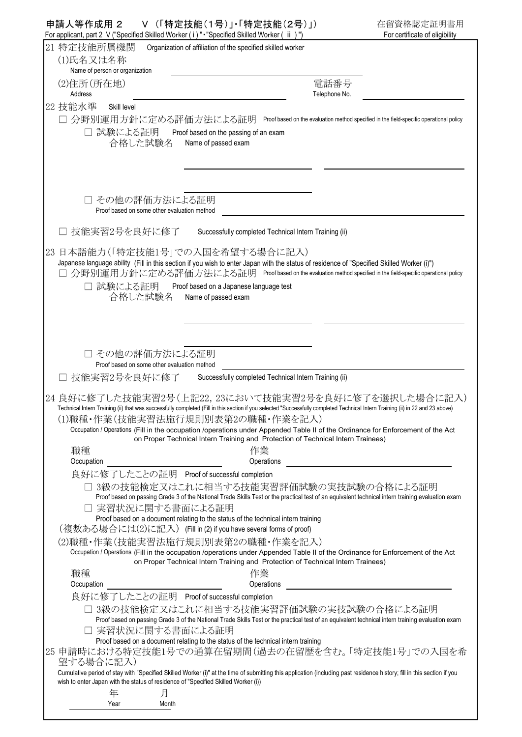|    | 申請人等作成用 2<br>Ⅴ (「特定技能(1号)」・「特定技能(2号)」)<br>For applicant, part 2 V ("Specified Skilled Worker (i) " · "Specified Skilled Worker (ii)")                                                                                                                                                                                                                                                                                                                                                             | 在留資格認定証明書用<br>For certificate of eligibility                                            |
|----|---------------------------------------------------------------------------------------------------------------------------------------------------------------------------------------------------------------------------------------------------------------------------------------------------------------------------------------------------------------------------------------------------------------------------------------------------------------------------------------------------|-----------------------------------------------------------------------------------------|
|    | 21 特定技能所属機関<br>Organization of affiliation of the specified skilled worker                                                                                                                                                                                                                                                                                                                                                                                                                        |                                                                                         |
|    | (1)氏名又は名称<br>Name of person or organization                                                                                                                                                                                                                                                                                                                                                                                                                                                       |                                                                                         |
|    | 電話番号<br>(2)住所(所在地)<br>Address<br>Telephone No.                                                                                                                                                                                                                                                                                                                                                                                                                                                    |                                                                                         |
|    | 22 技能水準<br>Skill level                                                                                                                                                                                                                                                                                                                                                                                                                                                                            |                                                                                         |
|    | □ 分野別運用方針に定める評価方法による証明                                                                                                                                                                                                                                                                                                                                                                                                                                                                            | Proof based on the evaluation method specified in the field-specific operational policy |
|    | 試験による証明 Proof based on the passing of an exam<br>合格した試験名<br>Name of passed exam                                                                                                                                                                                                                                                                                                                                                                                                                   |                                                                                         |
|    | □ その他の評価方法による証明                                                                                                                                                                                                                                                                                                                                                                                                                                                                                   |                                                                                         |
|    | Proof based on some other evaluation method                                                                                                                                                                                                                                                                                                                                                                                                                                                       |                                                                                         |
|    | 技能実習2号を良好に修了<br>Successfully completed Technical Intern Training (ii)                                                                                                                                                                                                                                                                                                                                                                                                                             |                                                                                         |
| 23 | 日本語能力(「特定技能1号」での入国を希望する場合に記入)<br>Japanese language ability (Fill in this section if you wish to enter Japan with the status of residence of "Specified Skilled Worker (i)")<br>分野別運用方針に定める評価方法による証明 Proof based on the evaluation method specified in the field-specific operational policy                                                                                                                                                                                                       |                                                                                         |
|    | □ 試験による証明<br>Proof based on a Japanese language test<br>合格した試験名<br>Name of passed exam                                                                                                                                                                                                                                                                                                                                                                                                            |                                                                                         |
|    |                                                                                                                                                                                                                                                                                                                                                                                                                                                                                                   |                                                                                         |
|    |                                                                                                                                                                                                                                                                                                                                                                                                                                                                                                   |                                                                                         |
|    | □ その他の評価方法による証明<br>Proof based on some other evaluation method                                                                                                                                                                                                                                                                                                                                                                                                                                    |                                                                                         |
|    | 技能実習2号を良好に修了<br>Successfully completed Technical Intern Training (ii)                                                                                                                                                                                                                                                                                                                                                                                                                             |                                                                                         |
|    | 24 良好に修了した技能実習2号(上記22,23において技能実習2号を良好に修了を選択した場合に記入)<br>Technical Intern Training (ii) that was successfully completed (Fill in this section if you selected "Successfully completed Technical Intern Training (ii) in 22 and 23 above)<br>(1)職種・作業(技能実習法施行規則別表第2の職種・作業を記入)<br>Occupation / Operations (Fill in the occupation /operations under Appended Table II of the Ordinance for Enforcement of the Act<br>on Proper Technical Intern Training and Protection of Technical Intern Trainees) |                                                                                         |
|    | 職種<br>作業                                                                                                                                                                                                                                                                                                                                                                                                                                                                                          |                                                                                         |
|    | Operations<br>Occupation                                                                                                                                                                                                                                                                                                                                                                                                                                                                          |                                                                                         |
|    | 良好に修了したことの証明 Proof of successful completion<br>□ 3級の技能検定又はこれに相当する技能実習評価試験の実技試験の合格による証明<br>Proof based on passing Grade 3 of the National Trade Skills Test or the practical test of an equivalent technical intern training evaluation exam<br>□ 実習状況に関する書面による証明<br>Proof based on a document relating to the status of the technical intern training                                                                                                                                             |                                                                                         |
|    | (複数ある場合には⑵に記入) (Fill in (2) if you have several forms of proof)                                                                                                                                                                                                                                                                                                                                                                                                                                   |                                                                                         |
|    | (2)職種・作業(技能実習法施行規則別表第2の職種・作業を記入)                                                                                                                                                                                                                                                                                                                                                                                                                                                                  |                                                                                         |
|    | Occupation / Operations (Fill in the occupation /operations under Appended Table II of the Ordinance for Enforcement of the Act<br>on Proper Technical Intern Training and Protection of Technical Intern Trainees)                                                                                                                                                                                                                                                                               |                                                                                         |
|    | 職種<br>作業                                                                                                                                                                                                                                                                                                                                                                                                                                                                                          |                                                                                         |
|    | Operations<br>Occupation                                                                                                                                                                                                                                                                                                                                                                                                                                                                          |                                                                                         |
|    | 良好に修了したことの証明 Proof of successful completion                                                                                                                                                                                                                                                                                                                                                                                                                                                       |                                                                                         |
|    | □ 3級の技能検定又はこれに相当する技能実習評価試験の実技試験の合格による証明<br>Proof based on passing Grade 3 of the National Trade Skills Test or the practical test of an equivalent technical intern training evaluation exam<br>実習状況に関する書面による証明                                                                                                                                                                                                                                                                                   |                                                                                         |
|    | Proof based on a document relating to the status of the technical intern training                                                                                                                                                                                                                                                                                                                                                                                                                 |                                                                                         |
|    | 25 申請時における特定技能1号での通算在留期間(過去の在留歴を含む。「特定技能1号」での入国を希<br>望する場合に記入)                                                                                                                                                                                                                                                                                                                                                                                                                                    |                                                                                         |
|    | Cumulative period of stay with "Specified Skilled Worker (i)" at the time of submitting this application (including past residence history; fill in this section if you<br>wish to enter Japan with the status of residence of "Specified Skilled Worker (i))                                                                                                                                                                                                                                     |                                                                                         |
|    | 年<br>月<br>Year<br>Month                                                                                                                                                                                                                                                                                                                                                                                                                                                                           |                                                                                         |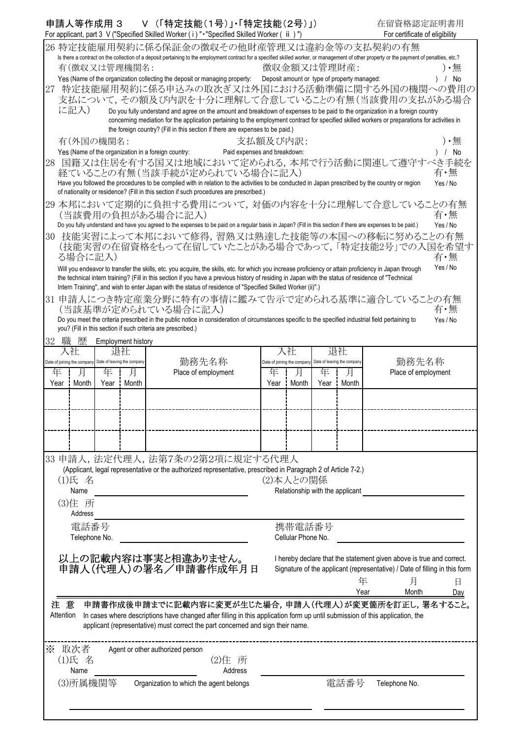|    | 申請人等作成用 3                                               |               |                           |                                                              | Ⅴ(「特定技能(1号)」・「特定技能(2号)」)                                                                                                                                     |                              |                                                         |   |            |                                                                                                                                                                                             | 在留資格認定証明書用                     |
|----|---------------------------------------------------------|---------------|---------------------------|--------------------------------------------------------------|--------------------------------------------------------------------------------------------------------------------------------------------------------------|------------------------------|---------------------------------------------------------|---|------------|---------------------------------------------------------------------------------------------------------------------------------------------------------------------------------------------|--------------------------------|
|    |                                                         |               |                           |                                                              | For applicant, part 3 V ("Specified Skilled Worker (i)" - "Specified Skilled Worker (ii)")                                                                   |                              |                                                         |   |            |                                                                                                                                                                                             | For certificate of eligibility |
|    |                                                         |               |                           |                                                              |                                                                                                                                                              |                              |                                                         |   |            | 26 特定技能雇用契約に係る保証金の徴収その他財産管理又は違約金等の支払契約の有無                                                                                                                                                   |                                |
|    | 有(徴収又は管理機関名:                                            |               |                           |                                                              |                                                                                                                                                              |                              | 徴収金額又は管理財産:                                             |   |            | Is there a contract on the collection of a deposit pertaining to the employment contract for a specified skilled worker, or management of other property or the payment of penalties, etc.? | ) •無                           |
|    |                                                         |               |                           |                                                              | Yes (Name of the organization collecting the deposit or managing property:                                                                                   |                              | Deposit amount or type of property managed:             |   |            |                                                                                                                                                                                             | No                             |
| 27 |                                                         |               |                           |                                                              |                                                                                                                                                              |                              |                                                         |   |            | 特定技能雇用契約に係る申込みの取次ぎ又は外国における活動準備に関する外国の機関への費用の                                                                                                                                                |                                |
|    |                                                         |               |                           |                                                              |                                                                                                                                                              |                              |                                                         |   |            | 支払について,その額及び内訳を十分に理解して合意していることの有無(当該費用の支払がある場合                                                                                                                                              |                                |
|    | に記入)                                                    |               |                           |                                                              |                                                                                                                                                              |                              |                                                         |   |            | Do you fully understand and agree on the amount and breakdown of expenses to be paid to the organization in a foreign country                                                               |                                |
|    |                                                         |               |                           |                                                              |                                                                                                                                                              |                              |                                                         |   |            | concerning mediation for the application pertaining to the employment contract for specified skilled workers or preparations for activities in                                              |                                |
|    |                                                         |               |                           |                                                              | the foreign country? (Fill in this section if there are expenses to be paid.)                                                                                |                              |                                                         |   |            |                                                                                                                                                                                             |                                |
|    | 有(外国の機関名:                                               |               |                           |                                                              |                                                                                                                                                              | 支払額及び内訳:                     |                                                         |   |            |                                                                                                                                                                                             | ) •無                           |
|    |                                                         |               |                           | Yes (Name of the organization in a foreign country:          |                                                                                                                                                              | Paid expenses and breakdown: |                                                         |   |            |                                                                                                                                                                                             | / No                           |
| 28 |                                                         |               |                           |                                                              |                                                                                                                                                              |                              |                                                         |   |            | 国籍又は住居を有する国又は地域において定められる、本邦で行う活動に関連して遵守すべき手続を                                                                                                                                               |                                |
|    |                                                         |               |                           |                                                              | 経ていることの有無(当該手続が定められている場合に記入)                                                                                                                                 |                              |                                                         |   |            |                                                                                                                                                                                             | 有·無                            |
|    |                                                         |               |                           |                                                              |                                                                                                                                                              |                              |                                                         |   |            | Have you followed the procedures to be complied with in relation to the activities to be conducted in Japan prescribed by the country or region                                             | Yes / No                       |
|    |                                                         |               |                           |                                                              | of nationality or residence? (Fill in this section if such procedures are prescribed.)                                                                       |                              |                                                         |   |            |                                                                                                                                                                                             |                                |
|    |                                                         |               |                           |                                                              |                                                                                                                                                              |                              |                                                         |   |            | 29 本邦において定期的に負担する費用について,対価の内容を十分に理解して合意していることの有無                                                                                                                                            |                                |
|    |                                                         |               |                           | (当該費用の負担がある場合に記入)                                            | Do you fully understand and have you agreed to the expenses to be paid on a regular basis in Japan? (Fill in this section if there are expenses to be paid.) |                              |                                                         |   |            |                                                                                                                                                                                             | 有・無                            |
|    |                                                         |               |                           |                                                              |                                                                                                                                                              |                              |                                                         |   |            |                                                                                                                                                                                             | Yes / No                       |
| 30 |                                                         |               |                           |                                                              |                                                                                                                                                              |                              |                                                         |   |            | 技能実習によって本邦において修得、習熟又は熟達した技能等の本国への移転に努めることの有無<br>(技能実習の在留資格をもって在留していたことがある場合であって、「特定技能2号」での入国を希望す                                                                                            |                                |
|    | る場合に記入)                                                 |               |                           |                                                              |                                                                                                                                                              |                              |                                                         |   |            |                                                                                                                                                                                             | 有・無                            |
|    |                                                         |               |                           |                                                              |                                                                                                                                                              |                              |                                                         |   |            | Will you endeavor to transfer the skills, etc. you acquire, the skills, etc. for which you increase proficiency or attain proficiency in Japan through                                      | Yes / No                       |
|    |                                                         |               |                           |                                                              | the technical intern training? (Fill in this section if you have a previous history of residing in Japan with the status of residence of "Technical          |                              |                                                         |   |            |                                                                                                                                                                                             |                                |
|    |                                                         |               |                           |                                                              | Intern Training", and wish to enter Japan with the status of residence of "Specified Skilled Worker (ii)".)                                                  |                              |                                                         |   |            |                                                                                                                                                                                             |                                |
|    |                                                         |               |                           |                                                              |                                                                                                                                                              |                              |                                                         |   |            | 31 申請人につき特定産業分野に特有の事情に鑑みて告示で定められる基準に適合していることの有無                                                                                                                                             |                                |
|    |                                                         |               |                           | (当該基準が定められている場合に記入)                                          |                                                                                                                                                              |                              |                                                         |   |            |                                                                                                                                                                                             | 有・無                            |
|    |                                                         |               |                           |                                                              | Do you meet the criteria prescribed in the public notice in consideration of circumstances specific to the specified industrial field pertaining to          |                              |                                                         |   |            |                                                                                                                                                                                             | Yes / No                       |
|    |                                                         |               |                           | you? (Fill in this section if such criteria are prescribed.) |                                                                                                                                                              |                              |                                                         |   |            |                                                                                                                                                                                             |                                |
| 32 | 歴<br>職                                                  |               | <b>Employment history</b> |                                                              |                                                                                                                                                              |                              |                                                         |   |            |                                                                                                                                                                                             |                                |
|    | 入社                                                      |               | 退社                        |                                                              |                                                                                                                                                              |                              | 入社                                                      |   | 退社         |                                                                                                                                                                                             |                                |
|    | Date of joining the company Date of leaving the company |               |                           |                                                              | 勤務先名称                                                                                                                                                        |                              | Date of joining the company Date of leaving the company |   |            |                                                                                                                                                                                             | 勤務先名称                          |
|    | 年<br>月                                                  | 年             | 月                         |                                                              | Place of employment                                                                                                                                          | 年                            | 月                                                       | 年 | 月          |                                                                                                                                                                                             | Place of employment            |
|    | Month<br>Year                                           | Year          | Month<br>÷                |                                                              |                                                                                                                                                              | Year                         | <b>Month</b>                                            |   | Year Month |                                                                                                                                                                                             |                                |
|    |                                                         |               |                           |                                                              |                                                                                                                                                              |                              |                                                         |   |            |                                                                                                                                                                                             |                                |
|    |                                                         |               |                           |                                                              |                                                                                                                                                              |                              |                                                         |   |            |                                                                                                                                                                                             |                                |
|    |                                                         |               |                           |                                                              |                                                                                                                                                              |                              |                                                         |   |            |                                                                                                                                                                                             |                                |
|    |                                                         |               |                           |                                                              |                                                                                                                                                              |                              |                                                         |   |            |                                                                                                                                                                                             |                                |
|    |                                                         |               |                           |                                                              |                                                                                                                                                              |                              |                                                         |   |            |                                                                                                                                                                                             |                                |
|    |                                                         |               |                           |                                                              | 33 申請人,法定代理人,法第7条の2第2項に規定する代理人                                                                                                                               |                              |                                                         |   |            |                                                                                                                                                                                             |                                |
|    |                                                         |               |                           |                                                              | (Applicant, legal representative or the authorized representative, prescribed in Paragraph 2 of Article 7-2.)                                                |                              |                                                         |   |            |                                                                                                                                                                                             |                                |
|    | (1)氏 名                                                  |               |                           |                                                              |                                                                                                                                                              |                              | (2)本人との関係                                               |   |            |                                                                                                                                                                                             |                                |
|    | Name                                                    |               |                           |                                                              |                                                                                                                                                              |                              | Relationship with the applicant                         |   |            |                                                                                                                                                                                             |                                |
|    | (3)住 所                                                  |               |                           |                                                              |                                                                                                                                                              |                              |                                                         |   |            |                                                                                                                                                                                             |                                |
|    | Address                                                 |               |                           |                                                              |                                                                                                                                                              |                              |                                                         |   |            |                                                                                                                                                                                             |                                |
|    |                                                         | 電話番号          |                           |                                                              |                                                                                                                                                              |                              | 携帯電話番号                                                  |   |            |                                                                                                                                                                                             |                                |
|    |                                                         | Telephone No. |                           |                                                              |                                                                                                                                                              |                              | Cellular Phone No.                                      |   |            |                                                                                                                                                                                             |                                |
|    |                                                         |               |                           |                                                              |                                                                                                                                                              |                              |                                                         |   |            |                                                                                                                                                                                             |                                |
|    |                                                         |               |                           |                                                              | 以上の記載内容は事実と相違ありません。<br>申請人(代理人)の署名/申請書作成年月日                                                                                                                  |                              |                                                         |   |            | I hereby declare that the statement given above is true and correct.                                                                                                                        |                                |
|    |                                                         |               |                           |                                                              |                                                                                                                                                              |                              |                                                         |   |            | Signature of the applicant (representative) / Date of filling in this form                                                                                                                  |                                |
|    |                                                         |               |                           |                                                              |                                                                                                                                                              |                              |                                                         |   |            | 月<br>年                                                                                                                                                                                      | 日                              |
|    |                                                         |               |                           |                                                              |                                                                                                                                                              |                              |                                                         |   |            | Year<br>Month                                                                                                                                                                               | Day                            |
|    | 注意                                                      |               |                           |                                                              |                                                                                                                                                              |                              |                                                         |   |            | 申請書作成後申請までに記載内容に変更が生じた場合,申請人(代理人)が変更箇所を訂正し,署名すること。                                                                                                                                          |                                |
|    | Attention                                               |               |                           |                                                              |                                                                                                                                                              |                              |                                                         |   |            | In cases where descriptions have changed after filling in this application form up until submission of this application, the                                                                |                                |
|    |                                                         |               |                           |                                                              | applicant (representative) must correct the part concerned and sign their name.                                                                              |                              |                                                         |   |            |                                                                                                                                                                                             |                                |
|    |                                                         |               |                           |                                                              |                                                                                                                                                              |                              |                                                         |   |            |                                                                                                                                                                                             |                                |
|    | ※ 取次者                                                   |               |                           | Agent or other authorized person                             |                                                                                                                                                              |                              |                                                         |   |            |                                                                                                                                                                                             |                                |
|    | (1)氏 名                                                  |               |                           |                                                              | (2)住 所                                                                                                                                                       |                              |                                                         |   |            |                                                                                                                                                                                             |                                |
|    | Name                                                    |               |                           |                                                              | Address                                                                                                                                                      |                              |                                                         |   |            |                                                                                                                                                                                             |                                |
|    | (3)所属機関等                                                |               |                           |                                                              | Organization to which the agent belongs                                                                                                                      |                              |                                                         |   | 電話番号       | Telephone No.                                                                                                                                                                               |                                |
|    |                                                         |               |                           |                                                              |                                                                                                                                                              |                              |                                                         |   |            |                                                                                                                                                                                             |                                |
|    |                                                         |               |                           |                                                              |                                                                                                                                                              |                              |                                                         |   |            |                                                                                                                                                                                             |                                |
|    |                                                         |               |                           |                                                              |                                                                                                                                                              |                              |                                                         |   |            |                                                                                                                                                                                             |                                |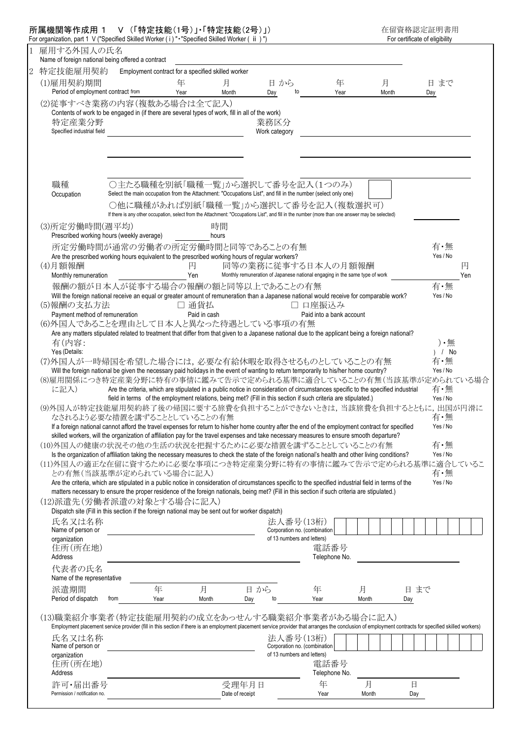| For organization, part 1 V ("Specified Skilled Worker (i) " • "Specified Skilled Worker ( ii ) ") |                                                                                                                                                                                                      |                                                    |              |                                                                                                                                                  |                                                            |       |       |      |                 |          |  |
|---------------------------------------------------------------------------------------------------|------------------------------------------------------------------------------------------------------------------------------------------------------------------------------------------------------|----------------------------------------------------|--------------|--------------------------------------------------------------------------------------------------------------------------------------------------|------------------------------------------------------------|-------|-------|------|-----------------|----------|--|
| 1 雇用する外国人の氏名<br>Name of foreign national being offered a contract                                 |                                                                                                                                                                                                      |                                                    |              |                                                                                                                                                  |                                                            |       |       |      |                 |          |  |
| 特定技能雇用契約                                                                                          |                                                                                                                                                                                                      | Employment contract for a specified skilled worker |              |                                                                                                                                                  |                                                            |       |       |      |                 |          |  |
| (1)雇用契約期間                                                                                         |                                                                                                                                                                                                      | 年                                                  | 月            | 日から                                                                                                                                              |                                                            | 年     | 月     |      | 日まで             |          |  |
| Period of employment contract from                                                                |                                                                                                                                                                                                      | Year                                               | Month        | Day                                                                                                                                              | to                                                         | Year  | Month |      | Day             |          |  |
|                                                                                                   |                                                                                                                                                                                                      |                                                    |              |                                                                                                                                                  |                                                            |       |       |      |                 |          |  |
| (2)従事すべき業務の内容(複数ある場合は全て記入)                                                                        | Contents of work to be engaged in (if there are several types of work, fill in all of the work)                                                                                                      |                                                    |              |                                                                                                                                                  |                                                            |       |       |      |                 |          |  |
| 特定産業分野                                                                                            |                                                                                                                                                                                                      |                                                    |              | 業務区分                                                                                                                                             |                                                            |       |       |      |                 |          |  |
| Specified industrial field                                                                        |                                                                                                                                                                                                      |                                                    |              | Work category                                                                                                                                    |                                                            |       |       |      |                 |          |  |
|                                                                                                   |                                                                                                                                                                                                      |                                                    |              |                                                                                                                                                  |                                                            |       |       |      |                 |          |  |
|                                                                                                   |                                                                                                                                                                                                      |                                                    |              |                                                                                                                                                  |                                                            |       |       |      |                 |          |  |
|                                                                                                   |                                                                                                                                                                                                      |                                                    |              |                                                                                                                                                  |                                                            |       |       |      |                 |          |  |
|                                                                                                   |                                                                                                                                                                                                      |                                                    |              |                                                                                                                                                  |                                                            |       |       |      |                 |          |  |
|                                                                                                   |                                                                                                                                                                                                      |                                                    |              |                                                                                                                                                  |                                                            |       |       |      |                 |          |  |
| 職種                                                                                                |                                                                                                                                                                                                      |                                                    |              | ○主たる職種を別紙「職種一覧」から選択して番号を記入(1つのみ)<br>Select the main occupation from the Attachment: "Occupations List", and fill in the number (select only one) |                                                            |       |       |      |                 |          |  |
| Occupation                                                                                        |                                                                                                                                                                                                      |                                                    |              |                                                                                                                                                  |                                                            |       |       |      |                 |          |  |
|                                                                                                   |                                                                                                                                                                                                      |                                                    |              | ○他に職種があれば別紙「職種一覧」から選択して番号を記入(複数選択可)                                                                                                              |                                                            |       |       |      |                 |          |  |
|                                                                                                   |                                                                                                                                                                                                      |                                                    |              | If there is any other occupation, select from the Attachment: "Occupations List", and fill in the number (more than one answer may be selected)  |                                                            |       |       |      |                 |          |  |
| (3)所定労働時間(週平均)                                                                                    |                                                                                                                                                                                                      |                                                    | 時間           |                                                                                                                                                  |                                                            |       |       |      |                 |          |  |
|                                                                                                   | Prescribed working hours (weekly average)                                                                                                                                                            |                                                    | hours        |                                                                                                                                                  |                                                            |       |       |      |                 |          |  |
|                                                                                                   | 所定労働時間が通常の労働者の所定労働時間と同等であることの有無                                                                                                                                                                      |                                                    |              |                                                                                                                                                  |                                                            |       |       |      | 有・無             |          |  |
|                                                                                                   | Are the prescribed working hours equivalent to the prescribed working hours of regular workers?                                                                                                      |                                                    |              |                                                                                                                                                  |                                                            |       |       |      | Yes / No        |          |  |
| (4)月額報酬<br>Monthly remuneration                                                                   |                                                                                                                                                                                                      | 円<br>Yen                                           |              | 同等の業務に従事する日本人の月額報酬<br>Monthly remuneration of Japanese national engaging in the same type of work                                                |                                                            |       |       |      |                 | 円<br>Yen |  |
|                                                                                                   |                                                                                                                                                                                                      |                                                    |              |                                                                                                                                                  |                                                            |       |       |      |                 |          |  |
|                                                                                                   | 報酬の額が日本人が従事する場合の報酬の額と同等以上であることの有無                                                                                                                                                                    |                                                    |              |                                                                                                                                                  |                                                            |       |       |      | 有·無<br>Yes / No |          |  |
| (5)報酬の支払方法                                                                                        | Will the foreign national receive an equal or greater amount of remuneration than a Japanese national would receive for comparable work?                                                             | 通貨払<br>$\Box$                                      |              |                                                                                                                                                  | □ 口座振込み                                                    |       |       |      |                 |          |  |
| Payment method of remuneration                                                                    |                                                                                                                                                                                                      |                                                    | Paid in cash |                                                                                                                                                  | Paid into a bank account                                   |       |       |      |                 |          |  |
| (6)外国人であることを理由として日本人と異なった待遇としている事項の有無                                                             |                                                                                                                                                                                                      |                                                    |              |                                                                                                                                                  |                                                            |       |       |      |                 |          |  |
|                                                                                                   | Are any matters stipulated related to treatment that differ from that given to a Japanese national due to the applicant being a foreign national?                                                    |                                                    |              |                                                                                                                                                  |                                                            |       |       |      |                 |          |  |
|                                                                                                   |                                                                                                                                                                                                      |                                                    |              |                                                                                                                                                  |                                                            |       |       |      |                 |          |  |
|                                                                                                   |                                                                                                                                                                                                      |                                                    |              |                                                                                                                                                  |                                                            |       |       |      |                 |          |  |
| 有(内容:<br>Yes (Details:                                                                            |                                                                                                                                                                                                      |                                                    |              |                                                                                                                                                  |                                                            |       |       |      | ) •無<br>) / No  |          |  |
| (7)外国人が一時帰国を希望した場合には,必要な有給休暇を取得させるものとしていることの有無                                                    |                                                                                                                                                                                                      |                                                    |              |                                                                                                                                                  |                                                            |       |       |      | 有・無             |          |  |
|                                                                                                   | Will the foreign national be given the necessary paid holidays in the event of wanting to return temporarily to his/her home country?                                                                |                                                    |              |                                                                                                                                                  |                                                            |       |       |      | Yes / No        |          |  |
| (8)雇用関係につき特定産業分野に特有の事情に鑑みて告示で定められる基準に適合していることの有無(当該基準が定められている場合                                   |                                                                                                                                                                                                      |                                                    |              |                                                                                                                                                  |                                                            |       |       |      |                 |          |  |
| に記入)                                                                                              |                                                                                                                                                                                                      |                                                    |              | Are the criteria, which are stipulated in a public notice in consideration of circumstances specific to the specified industrial                 |                                                            |       |       |      | 有・無             |          |  |
|                                                                                                   |                                                                                                                                                                                                      |                                                    |              | field in terms of the employment relations, being met? (Fill in this section if such criteria are stipulated.)                                   |                                                            |       |       |      | Yes / No        |          |  |
| (9)外国人が特定技能雇用契約終了後の帰国に要する旅費を負担することができないときは,当該旅費を負担するとともに,出国が円滑に                                   |                                                                                                                                                                                                      |                                                    |              |                                                                                                                                                  |                                                            |       |       |      |                 |          |  |
|                                                                                                   | なされるよう必要な措置を講ずることとしていることの有無                                                                                                                                                                          |                                                    |              |                                                                                                                                                  |                                                            |       |       |      | 有・無             |          |  |
|                                                                                                   | If a foreign national cannot afford the travel expenses for return to his/her home country after the end of the employment contract for specified                                                    |                                                    |              |                                                                                                                                                  |                                                            |       |       |      | Yes / No        |          |  |
|                                                                                                   | skilled workers, will the organization of affiliation pay for the travel expenses and take necessary measures to ensure smooth departure?                                                            |                                                    |              |                                                                                                                                                  |                                                            |       |       |      |                 |          |  |
| (10)外国人の健康の状況その他の生活の状況を把握するために必要な措置を講ずることとしていることの有無                                               |                                                                                                                                                                                                      |                                                    |              |                                                                                                                                                  |                                                            |       |       |      | 有·無             |          |  |
|                                                                                                   | Is the organization of affiliation taking the necessary measures to check the state of the foreign national's health and other living conditions?                                                    |                                                    |              |                                                                                                                                                  |                                                            |       |       |      | Yes / No        |          |  |
| (11)外国人の適正な在留に資するために必要な事項につき特定産業分野に特有の事情に鑑みて告示で定められる基準に適合しているこ                                    | との有無(当該基準が定められている場合に記入)                                                                                                                                                                              |                                                    |              |                                                                                                                                                  |                                                            |       |       |      | 有・無             |          |  |
|                                                                                                   | Are the criteria, which are stipulated in a public notice in consideration of circumstances specific to the specified industrial field in terms of the                                               |                                                    |              |                                                                                                                                                  |                                                            |       |       |      | Yes / No        |          |  |
|                                                                                                   | matters necessary to ensure the proper residence of the foreign nationals, being met? (Fill in this section if such criteria are stipulated.)                                                        |                                                    |              |                                                                                                                                                  |                                                            |       |       |      |                 |          |  |
| (12)派遣先(労働者派遣の対象とする場合に記入)                                                                         |                                                                                                                                                                                                      |                                                    |              |                                                                                                                                                  |                                                            |       |       |      |                 |          |  |
|                                                                                                   | Dispatch site (Fill in this section if the foreign national may be sent out for worker dispatch)                                                                                                     |                                                    |              |                                                                                                                                                  |                                                            |       |       |      |                 |          |  |
| 氏名又は名称                                                                                            |                                                                                                                                                                                                      |                                                    |              |                                                                                                                                                  | 法人番号(13桁)                                                  |       |       |      |                 |          |  |
| Name of person or                                                                                 |                                                                                                                                                                                                      |                                                    |              |                                                                                                                                                  | Corporation no. (combination                               |       |       |      |                 |          |  |
| organization                                                                                      |                                                                                                                                                                                                      |                                                    |              |                                                                                                                                                  | of 13 numbers and letters)                                 |       |       |      |                 |          |  |
| 住所(所在地)                                                                                           |                                                                                                                                                                                                      |                                                    |              |                                                                                                                                                  | 電話番号                                                       |       |       |      |                 |          |  |
| Address                                                                                           |                                                                                                                                                                                                      |                                                    |              |                                                                                                                                                  | Telephone No.                                              |       |       |      |                 |          |  |
| 代表者の氏名                                                                                            |                                                                                                                                                                                                      |                                                    |              |                                                                                                                                                  |                                                            |       |       |      |                 |          |  |
| Name of the representative                                                                        |                                                                                                                                                                                                      |                                                    |              |                                                                                                                                                  |                                                            |       |       |      |                 |          |  |
| 派遣期間                                                                                              |                                                                                                                                                                                                      | 年                                                  | 月            | 日から                                                                                                                                              | 年                                                          | 月     |       | 日 まで |                 |          |  |
| Period of dispatch                                                                                | from                                                                                                                                                                                                 | Year                                               | Month        | to<br>Day                                                                                                                                        | Year                                                       | Month |       | Day  |                 |          |  |
|                                                                                                   |                                                                                                                                                                                                      |                                                    |              |                                                                                                                                                  |                                                            |       |       |      |                 |          |  |
| (13)職業紹介事業者(特定技能雇用契約の成立をあっせんする職業紹介事業者がある場合に記入)                                                    |                                                                                                                                                                                                      |                                                    |              |                                                                                                                                                  |                                                            |       |       |      |                 |          |  |
|                                                                                                   | Employment placement service provider (fill in this section if there is an employment placement service provider that arranges the conclusion of employment contracts for specified skilled workers) |                                                    |              |                                                                                                                                                  |                                                            |       |       |      |                 |          |  |
| 氏名又は名称                                                                                            |                                                                                                                                                                                                      |                                                    |              |                                                                                                                                                  | 法人番号(13桁)                                                  |       |       |      |                 |          |  |
| Name of person or                                                                                 |                                                                                                                                                                                                      |                                                    |              |                                                                                                                                                  | Corporation no. (combination<br>of 13 numbers and letters) |       |       |      |                 |          |  |
| organization                                                                                      |                                                                                                                                                                                                      |                                                    |              |                                                                                                                                                  | 電話番号                                                       |       |       |      |                 |          |  |
| 住所(所在地)<br>Address                                                                                |                                                                                                                                                                                                      |                                                    |              |                                                                                                                                                  | Telephone No.                                              |       |       |      |                 |          |  |
| 許可·届出番号                                                                                           |                                                                                                                                                                                                      |                                                    |              | 受理年月日                                                                                                                                            | 年                                                          | 月     |       | 日    |                 |          |  |

## 所属機関等作成用 1 V (「特定技能(1号)」・「特定技能(2号)」) 在留資格認定証明書用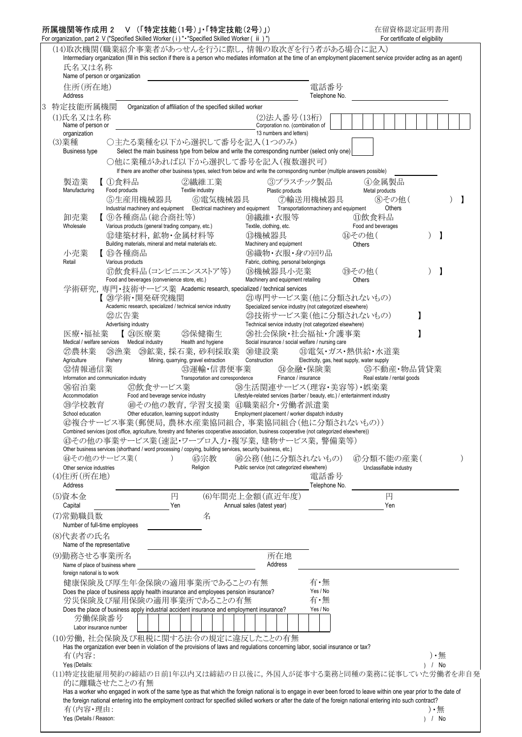## 所属機関等作成用 2 V (「特定技能(1号)」・「特定技能(2号)」) 在留資格認定証明書用 For organization, part 2 V ("Specified Skilled Worker ( i) " "Specified Skilled Worker ( ii ) ") For certificate of eligibility

|   |                                                 | 0. Organization, part z v (Opedined Onlined Worker (T) Opedined Onlined Worker (Tit)<br>(14)取次機関(職業紹介事業者があっせんを行うに際し,情報の取次ぎを行う者がある場合に記入)                                                                                                                                                                                                |                                     |                                                                                  |                                                               |  |                             | TUI CONTINUATO UI ORGIUMIN |  |          |             |  |
|---|-------------------------------------------------|----------------------------------------------------------------------------------------------------------------------------------------------------------------------------------------------------------------------------------------------------------------------------------------------------------------------------------------|-------------------------------------|----------------------------------------------------------------------------------|---------------------------------------------------------------|--|-----------------------------|----------------------------|--|----------|-------------|--|
|   | 氏名又は名称                                          | Intermediary organization (fill in this section if there is a person who mediates information at the time of an employment placement service provider acting as an agent)                                                                                                                                                              |                                     |                                                                                  |                                                               |  |                             |                            |  |          |             |  |
|   | Name of person or organization                  |                                                                                                                                                                                                                                                                                                                                        |                                     |                                                                                  |                                                               |  |                             |                            |  |          |             |  |
|   | 住所(所在地)<br>Address                              |                                                                                                                                                                                                                                                                                                                                        |                                     |                                                                                  | 電話番号<br>Telephone No.                                         |  |                             |                            |  |          |             |  |
| 3 | 特定技能所属機関                                        | Organization of affiliation of the specified skilled worker                                                                                                                                                                                                                                                                            |                                     |                                                                                  |                                                               |  |                             |                            |  |          |             |  |
|   | (1)氏名又は名称<br>Name of person or                  |                                                                                                                                                                                                                                                                                                                                        |                                     | (2)法人番号(13桁)<br>Corporation no. (combination of                                  |                                                               |  |                             |                            |  |          |             |  |
|   | organization<br>(3)業種                           | ○主たる業種を以下から選択して番号を記入(1つのみ)                                                                                                                                                                                                                                                                                                             |                                     | 13 numbers and letters)                                                          |                                                               |  |                             |                            |  |          |             |  |
|   | <b>Business type</b>                            | Select the main business type from below and write the corresponding number (select only one)                                                                                                                                                                                                                                          |                                     |                                                                                  |                                                               |  |                             |                            |  |          |             |  |
|   |                                                 | ○他に業種があれば以下から選択して番号を記入(複数選択可)<br>If there are another other business types, select from below and write the corresponding number (multiple answers possible)                                                                                                                                                                           |                                     |                                                                                  |                                                               |  |                             |                            |  |          |             |  |
|   | 製造業                                             | 【①食料品                                                                                                                                                                                                                                                                                                                                  | ②繊維工業                               | ③プラスチック製品                                                                        |                                                               |  | ④金属製品                       |                            |  |          |             |  |
|   | Manufacturing                                   | Food products<br>Textile industry<br>⑤生産用機械器具                                                                                                                                                                                                                                                                                          | 6電気機械器具                             | Plastic products<br>⑦輸送用機械器具                                                     |                                                               |  | Metal products              | 8その他(                      |  |          |             |  |
|   |                                                 | Industrial machinery and equipment Electrical machinery and equipment Transportationmachinery and equipment                                                                                                                                                                                                                            |                                     |                                                                                  |                                                               |  |                             | Others                     |  |          |             |  |
|   | 卸売業<br>Wholesale                                | 【⑨各種商品(総合商社等)<br>Various products (general trading company, etc.)                                                                                                                                                                                                                                                                      |                                     | ⑩繊維・衣服等<br>Textile, clothing, etc.                                               |                                                               |  | ⑪飲食料品<br>Food and beverages |                            |  |          |             |  |
|   |                                                 | 12 建築材料, 鉱物·金属材料等<br>Building materials, mineral and metal materials etc.                                                                                                                                                                                                                                                              |                                     | <b>13機械器具</b><br>Machinery and equipment                                         |                                                               |  | (4)その他(<br><b>Others</b>    |                            |  |          | $\mathbf l$ |  |
|   | 小売業                                             | 【 ⑮各種商品                                                                                                                                                                                                                                                                                                                                |                                     | 16織物・衣服・身の回り品                                                                    |                                                               |  |                             |                            |  |          |             |  |
|   | Retail                                          | Various products<br>⒄飲食料品(コンビニエンスストア等)                                                                                                                                                                                                                                                                                                 |                                     | Fabric, clothing, personal belongings<br>18機械器具小売業                               |                                                               |  | 19その他(                      |                            |  |          | -1          |  |
|   |                                                 | Food and beverages (convenience store, etc.)                                                                                                                                                                                                                                                                                           |                                     | Machinery and equipment retailing                                                |                                                               |  | Others                      |                            |  |          |             |  |
|   |                                                 | 学術研究, 専門・技術サービス業 Academic research, specialized / technical services<br>【 20学術·開発研究機関                                                                                                                                                                                                                                                  |                                     | 21専門サービス業(他に分類されないもの)                                                            |                                                               |  |                             |                            |  |          |             |  |
|   |                                                 | Academic research, specialized / technical service industry<br>22広告業                                                                                                                                                                                                                                                                   |                                     | Specialized service industry (not categorized elsewhere)<br>②技術サービス業(他に分類されないもの) |                                                               |  |                             |                            |  |          |             |  |
|   |                                                 | Advertising industry                                                                                                                                                                                                                                                                                                                   |                                     | Technical service industry (not categorized elsewhere)                           |                                                               |  |                             |                            |  |          |             |  |
|   | 医療・福祉業                                          | 【 ②医療業<br>Medical / welfare services   Medical industry                                                                                                                                                                                                                                                                                | <b>25保健衛生</b><br>Health and hygiene | 26社会保険·社会福祉·介護事業<br>Social insurance / social welfare / nursing care             |                                                               |  |                             |                            |  |          |             |  |
|   | ②農林業<br>Agriculture                             | 29鉱業,採石業,砂利採取業<br>28漁業<br>Mining, quarrying, gravel extraction<br>Fishery                                                                                                                                                                                                                                                              |                                     | 30建設業<br>Construction                                                            | 3電気・ガス・熱供給・水道業<br>Electricity, gas, heat supply, water supply |  |                             |                            |  |          |             |  |
|   | <b> @情報通信業</b>                                  |                                                                                                                                                                                                                                                                                                                                        | 33運輸·信書便事業                          | 3全融·保険業                                                                          |                                                               |  | 35不動産·物品賃貸業                 |                            |  |          |             |  |
|   | 36宿泊業                                           | Information and communication industry<br><b>の飲食サービス業</b>                                                                                                                                                                                                                                                                              | Transportation and correspondence   | Finance / insurance<br>③生活関連サービス(理容・美容等)・娯楽業                                     |                                                               |  | Real estate / rental goods  |                            |  |          |             |  |
|   | Accommodation                                   | Food and beverage service industry<br>4その他の教育, 学習支援業 4職業紹介・労働者派遣業                                                                                                                                                                                                                                                                      |                                     | Lifestyle-related services (barber / beauty, etc.) / entertainment industry      |                                                               |  |                             |                            |  |          |             |  |
|   | 39学校教育<br>School education                      | Other education, learning support industry                                                                                                                                                                                                                                                                                             |                                     | Employment placement / worker dispatch industry                                  |                                                               |  |                             |                            |  |          |             |  |
|   |                                                 | ⑫複合サービス事業(郵便局,農林水産業協同組合,事業協同組合(他に分類されないもの))<br>Combined services (post office, agriculture, forestry and fisheries cooperative association, business cooperative (not categorized elsewhere))                                                                                                                                          |                                     |                                                                                  |                                                               |  |                             |                            |  |          |             |  |
|   |                                                 | 43その他の事業サービス業(速記・ワープロ入力・複写業,建物サービス業,警備業等)                                                                                                                                                                                                                                                                                              |                                     |                                                                                  |                                                               |  |                             |                            |  |          |             |  |
|   | <b>④その他のサービス業(</b>                              | Other business services (shorthand / word processing / copying, building services, security business, etc.)                                                                                                                                                                                                                            | 45宗教                                | 46公務(他に分類されないもの)                                                                 |                                                               |  | ⑷分類不能の産業(                   |                            |  |          |             |  |
|   | Other service industries<br>(4)住所(所在地)          |                                                                                                                                                                                                                                                                                                                                        | Religion                            | Public service (not categorized elsewhere)                                       | 電話番号                                                          |  | Unclassifiable industry     |                            |  |          |             |  |
|   | Address                                         |                                                                                                                                                                                                                                                                                                                                        |                                     |                                                                                  | Telephone No.                                                 |  |                             |                            |  |          |             |  |
|   | (5)資本金<br>Capital                               | 円<br>Yen                                                                                                                                                                                                                                                                                                                               |                                     | (6)年間売上金額(直近年度)<br>Annual sales (latest year)                                    |                                                               |  |                             | 円<br>Yen                   |  |          |             |  |
|   | (7)常勤職員数                                        |                                                                                                                                                                                                                                                                                                                                        | 名                                   |                                                                                  |                                                               |  |                             |                            |  |          |             |  |
|   | Number of full-time employees<br>(8)代表者の氏名      |                                                                                                                                                                                                                                                                                                                                        |                                     |                                                                                  |                                                               |  |                             |                            |  |          |             |  |
|   | Name of the representative                      |                                                                                                                                                                                                                                                                                                                                        |                                     |                                                                                  |                                                               |  |                             |                            |  |          |             |  |
|   | (9)勤務させる事業所名<br>Name of place of business where |                                                                                                                                                                                                                                                                                                                                        |                                     | 所在地<br>Address                                                                   |                                                               |  |                             |                            |  |          |             |  |
|   | foreign national is to work                     | 健康保険及び厚生年金保険の適用事業所であることの有無                                                                                                                                                                                                                                                                                                             |                                     |                                                                                  | 有・無                                                           |  |                             |                            |  |          |             |  |
|   |                                                 | Does the place of business apply health insurance and employees pension insurance?                                                                                                                                                                                                                                                     |                                     |                                                                                  | Yes / No                                                      |  |                             |                            |  |          |             |  |
|   |                                                 | 労災保険及び雇用保険の適用事業所であることの有無<br>Does the place of business apply industrial accident insurance and employment insurance?                                                                                                                                                                                                                   |                                     |                                                                                  | 有・無<br>Yes / No                                               |  |                             |                            |  |          |             |  |
|   | 労働保険番号                                          |                                                                                                                                                                                                                                                                                                                                        |                                     |                                                                                  |                                                               |  |                             |                            |  |          |             |  |
|   | Labor insurance number                          | (10)労働,社会保険及び租税に関する法令の規定に違反したことの有無                                                                                                                                                                                                                                                                                                     |                                     |                                                                                  |                                                               |  |                             |                            |  |          |             |  |
|   | 有(内容:                                           | Has the organization ever been in violation of the provisions of laws and regulations concerning labor, social insurance or tax?                                                                                                                                                                                                       |                                     |                                                                                  |                                                               |  |                             |                            |  |          | $) \cdot$ 無 |  |
|   | Yes (Details:                                   |                                                                                                                                                                                                                                                                                                                                        |                                     |                                                                                  |                                                               |  |                             |                            |  | $)$ / No |             |  |
|   |                                                 | (11)特定技能雇用契約の締結の日前1年以内又は締結の日以後に、外国人が従事する業務と同種の業務に従事していた労働者を非自発<br>的に離職させたことの有無                                                                                                                                                                                                                                                         |                                     |                                                                                  |                                                               |  |                             |                            |  |          |             |  |
|   |                                                 | Has a worker who engaged in work of the same type as that which the foreign national is to engage in ever been forced to leave within one year prior to the date of<br>the foreign national entering into the employment contract for specified skilled workers or after the date of the foreign national entering into such contract? |                                     |                                                                                  |                                                               |  |                             |                            |  |          |             |  |
|   | 有(内容·理由:                                        |                                                                                                                                                                                                                                                                                                                                        |                                     |                                                                                  |                                                               |  |                             |                            |  |          | ) •無        |  |
|   | Yes (Details / Reason:                          |                                                                                                                                                                                                                                                                                                                                        |                                     |                                                                                  |                                                               |  |                             |                            |  | ) / No   |             |  |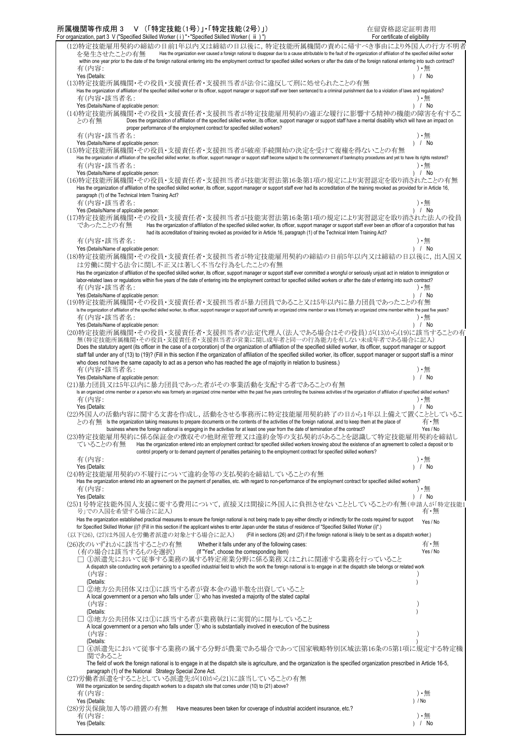| For organization, part 3 V ("Specified Skilled Worker ( i ) " • "Specified Skilled Worker ( ii ) ")                                                                                                                                                                           | For certificate of eligibility |
|-------------------------------------------------------------------------------------------------------------------------------------------------------------------------------------------------------------------------------------------------------------------------------|--------------------------------|
| (12)特定技能雇用契約の締結の日前1年以内又は締結の日以後に,特定技能所属機関の責めに帰すべき事由により外国人の行方不明者                                                                                                                                                                                                                |                                |
| Has the organization ever caused a foreign national to disappear due to a cause attributable to the fault of the organization of affiliation of the specified skilled worker<br>を発生させたことの有無                                                                                   |                                |
| within one year prior to the date of the foreign national entering into the employment contract for specified skilled workers or after the date of the foreign national entering into such contract?<br>有(内容:                                                                 | $\cdot$ ##                     |
| Yes (Details:                                                                                                                                                                                                                                                                 | ) / No                         |
| (13)特定技能所属機関・その役員・支援責任者・支援担当者が法令に違反して刑に処せられたことの有無                                                                                                                                                                                                                             |                                |
| Has the organization of affiliation of the specified skilled worker or its officer, support manager or support staff ever been sentenced to a criminal punishment due to a violation of laws and regulations?                                                                 |                                |
| 有(内容・該当者名:                                                                                                                                                                                                                                                                    | $\cdot$ $\overline{H}$         |
| Yes (Details/Name of applicable person:<br>(14)特定技能所属機関・その役員・支援責任者・支援担当者が特定技能雇用契約の適正な履行に影響する精神の機能の障害を有するこ                                                                                                                                                                     | ) / No                         |
| Does the organization of affiliation of the specified skilled worker, its officer, support manager or support staff have a mental disability which will have an impact on<br>との有無                                                                                             |                                |
| proper performance of the employment contract for specified skilled workers?                                                                                                                                                                                                  |                                |
| 有(内容・該当者名:                                                                                                                                                                                                                                                                    | $\cdot$ $\ddot{=}$             |
| Yes (Details/Name of applicable person:                                                                                                                                                                                                                                       | $)$ / No                       |
| (15)特定技能所属機関・その役員・支援責任者・支援担当者が破産手続開始の決定を受けて復権を得ないことの有無<br>Has the organization of affiliation of the specified skilled worker, its officer, support manager or support staff become subject to the commencement of bankruptcy procedures and yet to have its rights restored? |                                |
| 有(内容・該当者名:                                                                                                                                                                                                                                                                    | $\cdot$ ##                     |
| Yes (Details/Name of applicable person:                                                                                                                                                                                                                                       | ) / No                         |
| (16)特定技能所属機関・その役員・支援責任者・支援担当者が技能実習法第16条第1項の規定により実習認定を取り消されたことの有無                                                                                                                                                                                                              |                                |
| Has the organization of affiliation of the specified skilled worker, its officer, support manager or support staff ever had its accreditation of the training revoked as provided for in Article 16,                                                                          |                                |
| paragraph (1) of the Technical Intern Training Act?                                                                                                                                                                                                                           | $\cdot$ 無                      |
| 有(内容・該当者名:<br>Yes (Details/Name of applicable person:                                                                                                                                                                                                                         | $)$ / No                       |
| (17)特定技能所属機関・その役員・支援責任者・支援担当者が技能実習法第16条第1項の規定により実習認定を取り消された法人の役員                                                                                                                                                                                                              |                                |
| であったことの有無<br>Has the organization of affiliation of the specified skilled worker, its officer, support manager or support staff ever been an officer of a corporation that has                                                                                                |                                |
| had its accreditation of training revoked as provided for in Article 16, paragraph (1) of the Technical Intern Training Act?                                                                                                                                                  |                                |
| 有(内容・該当者名:                                                                                                                                                                                                                                                                    | $\cdot$ $\ddot{=}$             |
| Yes (Details/Name of applicable person:                                                                                                                                                                                                                                       | $)$ / No                       |
| (18)特定技能所属機関·その役員·支援責任者·支援担当者が特定技能雇用契約の締結の日前5年以内又は締結の日以後に、出入国又<br>は労働に関する法令に関し不正又は著しく不当な行為をしたことの有無                                                                                                                                                                            |                                |
| Has the organization of affiliation of the specified skilled worker, its officer, support manager or support staff ever committed a wrongful or seriously unjust act in relation to immigration or                                                                            |                                |
| labor-related laws or regulations within five years of the date of entering into the employment contract for specified skilled workers or after the date of entering into such contract?                                                                                      |                                |
| 有(内容・該当者名:                                                                                                                                                                                                                                                                    | $\cdot$ ##                     |
| Yes (Details/Name of applicable person:                                                                                                                                                                                                                                       | ) / No                         |
| (19)特定技能所属機関・その役員・支援責任者・支援担当者が暴力団員であること又は5年以内に暴力団員であったことの有無                                                                                                                                                                                                                   |                                |
| Is the organization of affiliation of the specified skilled worker, its officer, support manager or support staff currently an organized crime member or was it formerly an organized crime member within the past five years?<br>有(内容・該当者名:                                  | $\cdot$ $\overline{H}$         |
| Yes (Details/Name of applicable person:                                                                                                                                                                                                                                       | ) / No                         |
| (20)特定技能所属機関・その役員・支援責任者・支援担当者の法定代理人(法人である場合はその役員)が(13)から(19)に該当することの有                                                                                                                                                                                                         |                                |
| 無(特定技能所属機関・その役員・支援責任者・支援担当者が営業に関し成年者と同一の行為能力を有しない未成年者である場合に記入)                                                                                                                                                                                                                |                                |
| Does the statutory agent (its officer in the case of a corporation) of the organization of affiliation of the specified skilled worker, its officer, support manager or support                                                                                               |                                |
| staff fall under any of (13) to (19)? (Fill in this section if the organization of affiliation of the specified skilled worker, its officer, support manager or support staff is a minor                                                                                      |                                |
| who does not have the same capacity to act as a person who has reached the age of majority in relation to business.)<br>有(内容・該当者名:                                                                                                                                            | ) •無                           |
| Yes (Details/Name of applicable person:                                                                                                                                                                                                                                       | ) / No                         |
| (21)暴力団員又は5年以内に暴力団員であった者がその事業活動を支配する者であることの有無                                                                                                                                                                                                                                 |                                |
| Is an organized crime member or a person who was formerly an organized crime member within the past five years controlling the business activities of the organization of affiliation of specified skilled workers?                                                           |                                |
|                                                                                                                                                                                                                                                                               |                                |
| 有(内容:                                                                                                                                                                                                                                                                         | $\cdot$ $\ddot{=}$             |
| Yes (Details:                                                                                                                                                                                                                                                                 | $)$ / No                       |
| (22)外国人の活動内容に関する文書を作成し、活動をさせる事務所に特定技能雇用契約終了の日から1年以上備えて置くこととしているこ<br>との有無 Is the organization taking measures to prepare documents on the contents of the activities of the foreign national, and to keep them at the place of                                                 | 有・無                            |
| business where the foreign national is engaging in the activities for at least one year from the date of termination of the contract?                                                                                                                                         | Yes / No                       |
| (23)特定技能雇用契約に係る保証金の徴収その他財産管理又は違約金等の支払契約があることを認識して特定技能雇用契約を締結し                                                                                                                                                                                                                 |                                |
| Has the organization entered into an employment contract for specified skilled workers knowing about the existence of an agreement to collect a deposit or to<br>ていることの有無                                                                                                     |                                |
| control property or to demand payment of penalties pertaining to the employment contract for specified skilled workers?                                                                                                                                                       |                                |
| 有(内容:<br>Yes (Details:                                                                                                                                                                                                                                                        | $\cdot$ ##<br>$)$ / No         |
| (24)特定技能雇用契約の不履行について違約金等の支払契約を締結していることの有無                                                                                                                                                                                                                                     |                                |
| Has the organization entered into an agreement on the payment of penalties, etc. with regard to non-performance of the employment contract for specified skilled workers?                                                                                                     |                                |
| 有(内容:                                                                                                                                                                                                                                                                         | $\cdot$ 無                      |
| Yes (Details:                                                                                                                                                                                                                                                                 | $)$ / No                       |
| (25)1号特定技能外国人支援に要する費用について、直接又は間接に外国人に負担させないこととしていることの有無(申請人が「特定技能」                                                                                                                                                                                                            |                                |
| 号」での入国を希望する場合に記入)<br>Has the organization established practical measures to ensure the foreign national is not being made to pay either directly or indirectly for the costs required for support                                                                             | 有・無                            |
| for Specified Skilled Worker (i)? (Fill in this section if the applicant wishes to enter Japan under the status of residence of "Specified Skilled Worker (i)".)                                                                                                              | Yes / No                       |
| (以下(26), (27)は外国人を労働者派遣の対象とする場合に記入)<br>(Fill in sections (26) and (27) if the foreign national is likely to be sent as a dispatch worker.)                                                                                                                                    |                                |
| (26)次のいずれかに該当することの有無<br>Whether it falls under any of the following cases:                                                                                                                                                                                                    | 有・無                            |
| (有の場合は該当するものを選択)<br>(If "Yes", choose the corresponding item)                                                                                                                                                                                                                 | Yes / No                       |
| ①派遣先において従事する業務の属する特定産業分野に係る業務又はこれに関連する業務を行っていること                                                                                                                                                                                                                              |                                |
| A dispatch site conducting work pertaining to a specified industrial field to which the work the foreign national is to engage in at the dispatch site belongs or related work                                                                                                |                                |
| (内容:<br>(Details:                                                                                                                                                                                                                                                             |                                |
| ②地方公共団体又は①に該当する者が資本金の過半数を出資していること                                                                                                                                                                                                                                             |                                |
| A local government or a person who falls under ① who has invested a majority of the stated capital                                                                                                                                                                            |                                |
| (内容:                                                                                                                                                                                                                                                                          |                                |
| (Details:                                                                                                                                                                                                                                                                     |                                |
| □ ③地方公共団体又は①に該当する者が業務執行に実質的に関与していること                                                                                                                                                                                                                                          |                                |
| A local government or a person who falls under $(1)$ who is substantially involved in execution of the business<br>(内容:                                                                                                                                                       |                                |
| (Details:                                                                                                                                                                                                                                                                     |                                |
| ④派遣先において従事する業務の属する分野が農業である場合であって国家戦略特別区域法第16条の5第1項に規定する特定機                                                                                                                                                                                                                    |                                |
| 関であること                                                                                                                                                                                                                                                                        |                                |
| The field of work the foreign national is to engage in at the dispatch site is agriculture, and the organization is the specified organization prescribed in Article 16-5,                                                                                                    |                                |
| paragraph (1) of the National Strategy Special Zone Act.<br>(27)労働者派遣をすることとしている派遣先が(10)から(21)に該当していることの有無                                                                                                                                                                     |                                |
| Will the organization be sending dispatch workers to a dispatch site that comes under (10) to (21) above?                                                                                                                                                                     |                                |
| 有(内容:                                                                                                                                                                                                                                                                         | $\cdot$ $\ddot{=}$             |
| Yes (Details:                                                                                                                                                                                                                                                                 | $)$ / No                       |
| (28)労災保険加入等の措置の有無<br>Have measures been taken for coverage of industrial accident insurance, etc.?<br>有(内容:                                                                                                                                                                   | $\cdot$ $\ddot{=}$             |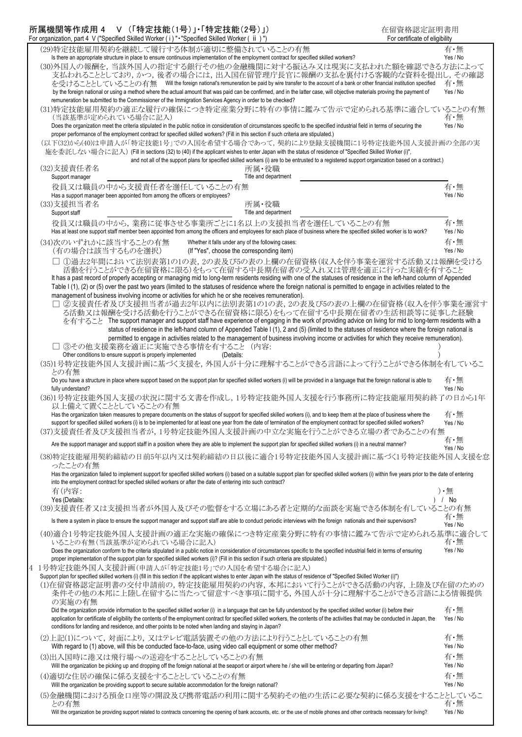| 所属機関等作成用 4 V (「特定技能(1号)」·「特定技能(2号)」)<br>在留資格認定証明書用<br>For organization, part 4 V ("Specified Skilled Worker (i)" - "Specified Skilled Worker (ii)")<br>For certificate of eligibility                                                                                                                                                                                                                                                                                                                                                                                                                                                                                                                                                                                                                  |                             |
|--------------------------------------------------------------------------------------------------------------------------------------------------------------------------------------------------------------------------------------------------------------------------------------------------------------------------------------------------------------------------------------------------------------------------------------------------------------------------------------------------------------------------------------------------------------------------------------------------------------------------------------------------------------------------------------------------------------------------------------------------------------------------------------------------------|-----------------------------|
| (29)特定技能雇用契約を継続して履行する体制が適切に整備されていることの有無                                                                                                                                                                                                                                                                                                                                                                                                                                                                                                                                                                                                                                                                                                                                                                | 有・無                         |
| Is there an appropriate structure in place to ensure continuous implementation of the employment contract for specified skilled workers?<br>(30)外国人の報酬を,当該外国人の指定する銀行その他の金融機関に対する振込み又は現実に支払われた額を確認できる方法によって<br>支払われることとしており,かつ,後者の場合には,出入国在留管理庁長官に報酬の支払を裏付ける客観的な資料を提出し,その確認<br>を受けることとしていることの有無 Will the foreign national's remuneration be paid by wire transfer to the account of a bank or other financial institution specified<br>by the foreign national or using a method where the actual amount that was paid can be confirmed, and in the latter case, will objective materials proving the payment of                                                                                                                                                                                        | Yes / No<br>有・無<br>Yes / No |
| remuneration be submitted to the Commissioner of the Immigration Services Agency in order to be checked?                                                                                                                                                                                                                                                                                                                                                                                                                                                                                                                                                                                                                                                                                               |                             |
| (31)特定技能雇用契約の適正な履行の確保につき特定産業分野に特有の事情に鑑みて告示で定められる基準に適合していることの有無<br>(当該基準が定められている場合に記入)<br>Does the organization meet the criteria stipulated in the public notice in consideration of circumstances specific to the specified industrial field in terms of securing the<br>proper performance of the employment contract for specified skilled workers? (Fill in this section if such criteria are stipulated.)<br>(以下(32)から(40)は申請人が「特定技能1号」での入国を希望する場合であって、契約により登録支援機関に1号特定技能外国人支援計画の全部の実<br>施を委託しない場合に記入) (Fill in sections (32) to (40) if the applicant wishes to enter Japan with the status of residence of "Specified Skilled Worker (i)",<br>and not all of the support plans for specified skilled workers (i) are to be entrusted to a registered support organization based on a contract.) | 有・無<br>Yes / No             |
| (32)支援責任者名<br>所属・役職<br>Title and department<br>Support manager                                                                                                                                                                                                                                                                                                                                                                                                                                                                                                                                                                                                                                                                                                                                         |                             |
| 役員又は職員の中から支援責任者を選任していることの有無                                                                                                                                                                                                                                                                                                                                                                                                                                                                                                                                                                                                                                                                                                                                                                            | 有・無                         |
| Has a support manager been appointed from among the officers or employees?<br>(33)支援担当者名<br>所属·役職<br>Title and department<br>Support staff                                                                                                                                                                                                                                                                                                                                                                                                                                                                                                                                                                                                                                                             | Yes / No                    |
| 役員又は職員の中から,業務に従事させる事業所ごとに1名以上の支援担当者を選任していることの有無<br>Has at least one support staff member been appointed from among the officers and employees for each place of business where the specified skilled worker is to work?                                                                                                                                                                                                                                                                                                                                                                                                                                                                                                                                                                                | 有·無<br>Yes / No             |
| (34)次のいずれかに該当することの有無<br>Whether it falls under any of the following cases:<br>(有の場合は該当するものを選択)<br>(If "Yes", choose the corresponding item)                                                                                                                                                                                                                                                                                                                                                                                                                                                                                                                                                                                                                                                            | 有・無<br>Yes / No             |
| ①過去2年間において法別表第1の1の表,2の表及び5の表の上欄の在留資格(収入を伴う事業を運営する活動又は報酬を受ける<br>活動を行うことができる在留資格に限る)をもって在留する中長期在留者の受入れ又は管理を適正に行った実績を有すること<br>It has a past record of properly accepting or managing mid to long-term residents residing with one of the statuses of residence in the left-hand column of Appended<br>Table I (1), (2) or (5) over the past two years (limited to the statuses of residence where the foreign national is permitted to engage in activities related to the                                                                                                                                                                                                                                                                                                                                |                             |
| management of business involving income or activities for which he or she receives remuneration).<br>②支援責任者及び支援担当者が過去2年以内に法別表第1の1の表,2の表及び5の表の上欄の在留資格(収入を伴う事業を運営す<br>る活動又は報酬を受ける活動を行うことができる在留資格に限る)をもって在留する中長期在留者の生活相談等に従事した経験<br>を有すること The support manager and support staff have experience of engaging in the work of providing advice on living for mid to long-term residents with a<br>status of residence in the left-hand column of Appended Table I (1), 2 and (5) (limited to the statuses of residence where the foreign national is<br>permitted to engage in activities related to the management of business involving income or activities for which they receive remuneration).                                                                                                        |                             |
| ③その他支援業務を適正に実施できる事情を有すること(内容:<br>Other conditions to ensure support is properly implemented<br>(Details:                                                                                                                                                                                                                                                                                                                                                                                                                                                                                                                                                                                                                                                                                               |                             |
| (35)1号特定技能外国人支援計画に基づく支援を,外国人が十分に理解することができる言語によって行うことができる体制を有しているこ<br>との有無                                                                                                                                                                                                                                                                                                                                                                                                                                                                                                                                                                                                                                                                                                                              |                             |
| Do you have a structure in place where support based on the support plan for specified skilled workers (i) will be provided in a language that the foreign national is able to<br>fully understand?                                                                                                                                                                                                                                                                                                                                                                                                                                                                                                                                                                                                    | 有・無<br>Yes / No             |
| (36)1号特定技能外国人支援の状況に関する文書を作成し,1号特定技能外国人支援を行う事務所に特定技能雇用契約終了の日から1年<br>以上備えて置くこととしていることの有無<br>Has the organization taken measures to prepare documents on the status of support for specified skilled workers (i), and to keep them at the place of business where the<br>support for specified skilled workers (i) is to be implemented for at least one year from the date of termination of the employment contract for specified skilled workers?                                                                                                                                                                                                                                                                                                                                                      | 有・無<br>Yes / No             |
| (37)支援責任者及び支援担当者が、1号特定技能外国人支援計画の中立な実施を行うことができる立場の者であることの有無                                                                                                                                                                                                                                                                                                                                                                                                                                                                                                                                                                                                                                                                                                                                             | 有・無                         |
| Are the support manager and support staff in a position where they are able to implement the support plan for specified skilled workers (i) in a neutral manner?                                                                                                                                                                                                                                                                                                                                                                                                                                                                                                                                                                                                                                       | Yes / No                    |
| (38)特定技能雇用契約締結の日前5年以内又は契約締結の日以後に適合1号特定技能外国人支援計画に基づく1号特定技能外国人支援を怠<br>ったことの有無<br>Has the organization failed to implement support for specified skilled workers (i) based on a suitable support plan for specified skilled workers (i) within five years prior to the date of entering                                                                                                                                                                                                                                                                                                                                                                                                                                                                                                                   |                             |
| into the employment contract for specfied skilled workers or after the date of entering into such contract?<br>有(内容:                                                                                                                                                                                                                                                                                                                                                                                                                                                                                                                                                                                                                                                                                   | ) •無                        |
| Yes (Details:<br>(39)支援責任者又は支援担当者が外国人及びその監督をする立場にある者と定期的な面談を実施できる体制を有していることの有無                                                                                                                                                                                                                                                                                                                                                                                                                                                                                                                                                                                                                                                                                                                         | 1 / No                      |
| Is there a system in place to ensure the support manager and support staff are able to conduct periodic interviews with the foreign nationals and their supervisors?                                                                                                                                                                                                                                                                                                                                                                                                                                                                                                                                                                                                                                   | 有・無<br>Yes / No             |
| (40)適合1号特定技能外国人支援計画の適正な実施の確保につき特定産業分野に特有の事情に鑑みて告示で定められる基準に適合して<br>いることの有無(当該基準が定められている場合に記入)<br>Does the organization conform to the criteria stipulated in a public notice in consideration of circumstances specific to the specified industrial field in terms of ensuring                                                                                                                                                                                                                                                                                                                                                                                                                                                                                                                          | 有・無<br>Yes / No             |
| proper implementation of the support plan for specified skilled workers (i)? (Fill in this section if such criteria are stipulated.)                                                                                                                                                                                                                                                                                                                                                                                                                                                                                                                                                                                                                                                                   |                             |
| 1号特定技能外国人支援計画(申請人が「特定技能1号」での入国を希望する場合に記入)<br>Support plan for specified skilled workers (i) (fill in this section if the applicant wishes to enter Japan with the status of residence of "Specified Skilled Worker (i)")<br>(1)在留資格認定証明書の交付申請前の,特定技能雇用契約の内容,本邦において行うことができる活動の内容,上陸及び在留のための<br>条件その他の本邦に上陸し在留するに当たって留意すべき事項に関する、外国人が十分に理解することができる言語による情報提供<br>の実施の有無                                                                                                                                                                                                                                                                                                                                                                                                                                    |                             |
| Did the organization provide information to the specified skilled worker (i) in a language that can be fully understood by the specified skilled worker (i) before their<br>application for certificate of eligibility the contents of the employment contract for specified skilled workers, the contents of the activities that may be conducted in Japan, the<br>conditions for landing and residence, and other points to be noted when landing and staying in Japan?                                                                                                                                                                                                                                                                                                                              | 有・無<br>Yes / No             |
| (2)上記(1)について,対面により,又はテレビ電話装置その他の方法により行うこととしていることの有無<br>With regard to (1) above, will this be conducted face-to-face, using video call equipment or some other method?                                                                                                                                                                                                                                                                                                                                                                                                                                                                                                                                                                                                                                 | 有・無<br>Yes / No             |
| (3)出入国時に港又は飛行場への送迎をすることとしていることの有無<br>Will the organization be picking up and dropping off the foreign national at the seaport or airport where he / she will be entering or departing from Japan?                                                                                                                                                                                                                                                                                                                                                                                                                                                                                                                                                                                                      | 有・無<br>Yes / No             |
| (4)適切な住居の確保に係る支援をすることとしていることの有無<br>Will the organization be providing support to secure suitable accommodation for the foreign national?                                                                                                                                                                                                                                                                                                                                                                                                                                                                                                                                                                                                                                                               | 有・無<br>Yes / No             |
| (5)金融機関における預金口座等の開設及び携帯電話の利用に関する契約その他の生活に必要な契約に係る支援をすることとしているこ                                                                                                                                                                                                                                                                                                                                                                                                                                                                                                                                                                                                                                                                                                                                         |                             |
| との有無<br>Will the organization be providing support related to contracts concerning the opening of bank accounts, etc. or the use of mobile phones and other contracts necessary for living?                                                                                                                                                                                                                                                                                                                                                                                                                                                                                                                                                                                                            | 有・無<br>Yes / No             |

 $\mathbf{l}$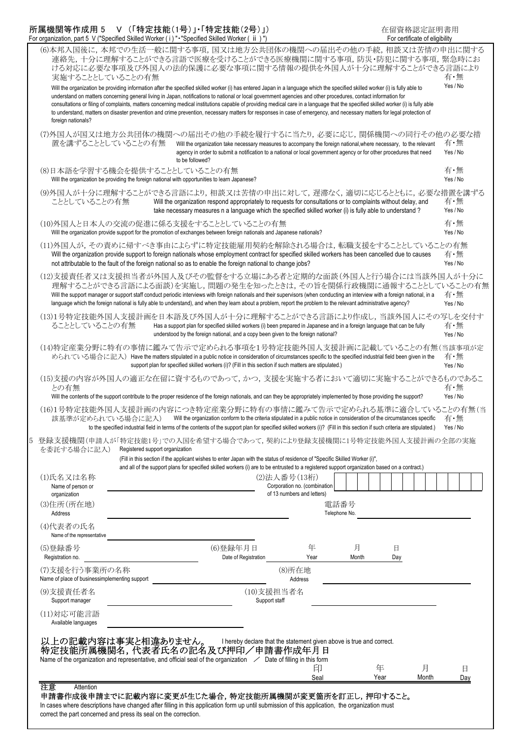| 所属機関等作成用 5 V(「特定技能(1号)」・「特定技能(2号)」)                                                            | 在留資格認定証明書用                     |
|------------------------------------------------------------------------------------------------|--------------------------------|
| For organization, part 5 V ("Specified Skilled Worker (i) " • "Specified Skilled Worker (ii)") | For certificate of eligibility |

correct the part concerned and press its seal on the correction.

| 01 Organization, part 5 V (Specified Skilled Worker (1) - Specified Skilled Worker (11)                                                                                                                                                                 |                                                                                                                                                                                                                                                                                                                                                                                                                                                                                                                                                                                                                                                                                                                  |                                                                                                                                                                                                                                                             |                             |                                                |               |          | <b>I</b> Of Certificate Of eligibility |                 |
|---------------------------------------------------------------------------------------------------------------------------------------------------------------------------------------------------------------------------------------------------------|------------------------------------------------------------------------------------------------------------------------------------------------------------------------------------------------------------------------------------------------------------------------------------------------------------------------------------------------------------------------------------------------------------------------------------------------------------------------------------------------------------------------------------------------------------------------------------------------------------------------------------------------------------------------------------------------------------------|-------------------------------------------------------------------------------------------------------------------------------------------------------------------------------------------------------------------------------------------------------------|-----------------------------|------------------------------------------------|---------------|----------|----------------------------------------|-----------------|
| (6)本邦入国後に、本邦での生活一般に関する事項、国又は地方公共団体の機関への届出その他の手続、相談又は苦情の申出に関する<br>実施することとしていることの有無                                                                                                                                                                       | 連絡先,十分に理解することができる言語で医療を受けることができる医療機関に関する事項,防災・防犯に関する事項,緊急時にお<br>ける対応に必要な事項及び外国人の法的保護に必要な事項に関する情報の提供を外国人が十分に理解することができる言語により                                                                                                                                                                                                                                                                                                                                                                                                                                                                                                                                                                                       |                                                                                                                                                                                                                                                             |                             |                                                |               |          |                                        | 有・無             |
| foreign nationals?                                                                                                                                                                                                                                      | Will the organization be providing information after the specified skilled worker (i) has entered Japan in a language which the specified skilled worker (i) is fully able to<br>understand on matters concerning general living in Japan, notifications to national or local government agencies and other procedures, contact information for<br>consultations or filing of complaints, matters concerning medical institutions capable of providing medical care in a language that the specified skilled worker (i) is fully able<br>to understand, matters on disaster prevention and crime prevention, necessary matters for responses in case of emergency, and necessary matters for legal protection of |                                                                                                                                                                                                                                                             |                             |                                                |               |          |                                        | Yes / No        |
| (7)外国人が国又は地方公共団体の機関への届出その他の手続を履行するに当たり,必要に応じ,関係機関への同行その他の必要な措<br>置を講ずることとしていることの有無                                                                                                                                                                      |                                                                                                                                                                                                                                                                                                                                                                                                                                                                                                                                                                                                                                                                                                                  | Will the organization take necessary measures to accompany the foreign national, where necessary, to the relevant<br>agency in order to submit a notification to a national or local government agency or for other procedures that need<br>to be followed? |                             |                                                |               |          |                                        | 有・無<br>Yes / No |
| (8)日本語を学習する機会を提供することとしていることの有無                                                                                                                                                                                                                          | Will the organization be providing the foreign national with opportunities to learn Japanese?                                                                                                                                                                                                                                                                                                                                                                                                                                                                                                                                                                                                                    |                                                                                                                                                                                                                                                             |                             |                                                |               |          |                                        | 有・無<br>Yes / No |
| (9)外国人が十分に理解することができる言語により,相談又は苦情の申出に対して,遅滞なく,適切に応じるとともに,必要な措置を講ずる<br>こととしていることの有無                                                                                                                                                                       |                                                                                                                                                                                                                                                                                                                                                                                                                                                                                                                                                                                                                                                                                                                  | Will the organization respond appropriately to requests for consultations or to complaints without delay, and<br>take necessary measures n a language which the specified skilled worker (i) is fully able to understand?                                   |                             |                                                |               |          |                                        | 有・無<br>Yes / No |
| (10)外国人と日本人の交流の促進に係る支援をすることとしていることの有無                                                                                                                                                                                                                   | Will the organization provide support for the promotion of exchanges between foreign nationals and Japanese nationals?                                                                                                                                                                                                                                                                                                                                                                                                                                                                                                                                                                                           |                                                                                                                                                                                                                                                             |                             |                                                |               |          |                                        | 有・無<br>Yes / No |
| (11)外国人が,その責めに帰すべき事由によらずに特定技能雇用契約を解除される場合は,転職支援をすることとしていることの有無                                                                                                                                                                                          | Will the organization provide support to foreign nationals whose employment contract for specified skilled workers has been cancelled due to causes<br>not attributable to the fault of the foreign national so as to enable the foreign national to change jobs?                                                                                                                                                                                                                                                                                                                                                                                                                                                |                                                                                                                                                                                                                                                             |                             |                                                |               |          |                                        | 有・無<br>Yes / No |
| (12)支援責任者又は支援担当者が外国人及びその監督をする立場にある者と定期的な面談(外国人と行う場合には当該外国人が十分に                                                                                                                                                                                          | 理解することができる言語による面談)を実施し,問題の発生を知ったときは,その旨を関係行政機関に通報することとしていることの有無<br>Will the support manager or support staff conduct periodic interviews with foreign nationals and their supervisors (when conducting an interview with a foreign national, in a<br>language which the foreign national is fully able to understand), and when they learn about a problem, report the problem to the relevant administrative agency?                                                                                                                                                                                                                                                                                            |                                                                                                                                                                                                                                                             |                             |                                                |               |          |                                        | 有・無<br>Yes / No |
| (13)1号特定技能外国人支援計画を日本語及び外国人が十分に理解することができる言語により作成し,当該外国人にその写しを交付す<br>ることとしていることの有無                                                                                                                                                                        |                                                                                                                                                                                                                                                                                                                                                                                                                                                                                                                                                                                                                                                                                                                  | Has a support plan for specified skilled workers (i) been prepared in Japanese and in a foreign language that can be fully<br>understood by the foreign national, and a copy been given to the foreign national?                                            |                             |                                                |               |          |                                        | 有・無<br>Yes / No |
| (14)特定産業分野に特有の事情に鑑みて告示で定められる事項を1号特定技能外国人支援計画に記載していることの有無(当該事項が定                                                                                                                                                                                         | められている場合に記入) Have the matters stipulated in a public notice in consideration of circumstances specific to the specified industrial field been given in the                                                                                                                                                                                                                                                                                                                                                                                                                                                                                                                                                       | support plan for specified skilled workers (i)? (Fill in this section if such matters are stipulated.)                                                                                                                                                      |                             |                                                |               |          |                                        | 有・無<br>Yes / No |
| (15)支援の内容が外国人の適正な在留に資するものであって,かつ,支援を実施する者において適切に実施することができるものであるこ<br>との有無                                                                                                                                                                                | Will the contents of the support contribute to the proper residence of the foreign nationals, and can they be appropriately implemented by those providing the support?                                                                                                                                                                                                                                                                                                                                                                                                                                                                                                                                          |                                                                                                                                                                                                                                                             |                             |                                                |               |          |                                        | 有・無<br>Yes / No |
| (16)1号特定技能外国人支援計画の内容につき特定産業分野に特有の事情に鑑みて告示で定められる基準に適合していることの有無(当<br>該基準が定められている場合に記入)                                                                                                                                                                    | to the specified industrial field in terms of the contents of the support plan for specified skilled workers (i)? (Fill in this section if such criteria are stipulated.)                                                                                                                                                                                                                                                                                                                                                                                                                                                                                                                                        | Will the organization conform to the criteria stipulated in a public notice in consideration of the circumstances specific                                                                                                                                  |                             |                                                |               |          |                                        | 有・無<br>Yes / No |
| 登録支援機関(申請人が「特定技能1号」での入国を希望する場合であって,契約により登録支援機関に1号特定技能外国人支援計画の全部の実施<br>を委託する場合に記入)                                                                                                                                                                       | Registered support organization<br>(Fill in this section if the applicant wishes to enter Japan with the status of residence of "Specific Skilled Worker (i)",                                                                                                                                                                                                                                                                                                                                                                                                                                                                                                                                                   |                                                                                                                                                                                                                                                             |                             |                                                |               |          |                                        |                 |
| (1)氏名又は名称                                                                                                                                                                                                                                               | and all of the support plans for specified skilled workers (i) are to be entrusted to a registered support organization based on a contract.)                                                                                                                                                                                                                                                                                                                                                                                                                                                                                                                                                                    |                                                                                                                                                                                                                                                             |                             | (2) 法人番号 (13桁)<br>Corporation no. (combination |               |          |                                        |                 |
| Name of person or<br>organization<br>(3)住所(所在地)                                                                                                                                                                                                         |                                                                                                                                                                                                                                                                                                                                                                                                                                                                                                                                                                                                                                                                                                                  |                                                                                                                                                                                                                                                             |                             | of 13 numbers and letters)                     | 電話番号          |          |                                        |                 |
| Address<br>(4)代表者の氏名                                                                                                                                                                                                                                    |                                                                                                                                                                                                                                                                                                                                                                                                                                                                                                                                                                                                                                                                                                                  |                                                                                                                                                                                                                                                             |                             |                                                | Telephone No. |          |                                        |                 |
| Name of the representative                                                                                                                                                                                                                              |                                                                                                                                                                                                                                                                                                                                                                                                                                                                                                                                                                                                                                                                                                                  |                                                                                                                                                                                                                                                             |                             |                                                |               |          |                                        |                 |
| (5)登録番号<br>Registration no.                                                                                                                                                                                                                             |                                                                                                                                                                                                                                                                                                                                                                                                                                                                                                                                                                                                                                                                                                                  | (6)登録年月日                                                                                                                                                                                                                                                    | Date of Registration        | 年<br>Year                                      | 月<br>Month    | 日<br>Day |                                        |                 |
| (7)支援を行う事業所の名称<br>Name of place of businessimplementing support                                                                                                                                                                                         |                                                                                                                                                                                                                                                                                                                                                                                                                                                                                                                                                                                                                                                                                                                  |                                                                                                                                                                                                                                                             |                             | (8)所在地<br>Address                              |               |          |                                        |                 |
| (9)支援責任者名<br>Support manager                                                                                                                                                                                                                            |                                                                                                                                                                                                                                                                                                                                                                                                                                                                                                                                                                                                                                                                                                                  |                                                                                                                                                                                                                                                             | (10)支援担当者名<br>Support staff |                                                |               |          |                                        |                 |
| (11)対応可能言語                                                                                                                                                                                                                                              |                                                                                                                                                                                                                                                                                                                                                                                                                                                                                                                                                                                                                                                                                                                  |                                                                                                                                                                                                                                                             |                             |                                                |               |          |                                        |                 |
| Available languages                                                                                                                                                                                                                                     |                                                                                                                                                                                                                                                                                                                                                                                                                                                                                                                                                                                                                                                                                                                  |                                                                                                                                                                                                                                                             |                             |                                                |               |          |                                        |                 |
| 以上の記載内容は事実と相違ありません。 Inereby declare that the statement given above is true and correct.<br>特定技能所属機関名, 代表者氏名の記名及び押印/申請書作成年月日<br>Name of the organization and representative, and official seal of the organization $\angle$ Date of filling in this form |                                                                                                                                                                                                                                                                                                                                                                                                                                                                                                                                                                                                                                                                                                                  |                                                                                                                                                                                                                                                             |                             | 印                                              |               | 年        | 月                                      | 日               |